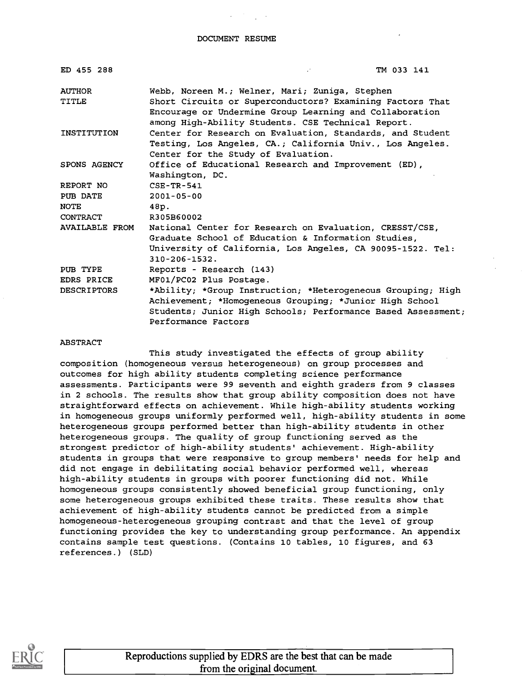| ED 455 288         | TM 033 141                                                                                                      |
|--------------------|-----------------------------------------------------------------------------------------------------------------|
| <b>AUTHOR</b>      | Webb, Noreen M.; Welner, Mari; Zuniga, Stephen                                                                  |
| TITLE              | Short Circuits or Superconductors? Examining Factors That                                                       |
|                    | Encourage or Undermine Group Learning and Collaboration                                                         |
| INSTITUTION        | among High-Ability Students. CSE Technical Report.<br>Center for Research on Evaluation, Standards, and Student |
|                    | Testing, Los Angeles, CA.; California Univ., Los Angeles.                                                       |
|                    | Center for the Study of Evaluation.                                                                             |
| SPONS AGENCY       | Office of Educational Research and Improvement (ED),                                                            |
|                    | Washington, DC.                                                                                                 |
| REPORT NO          | $CSE - TR - 541$                                                                                                |
| PUB DATE           | $2001 - 05 - 00$                                                                                                |
| <b>NOTE</b>        | 48p.                                                                                                            |
| CONTRACT           | R305B60002                                                                                                      |
| AVAILABLE FROM     | National Center for Research on Evaluation, CRESST/CSE,                                                         |
|                    | Graduate School of Education & Information Studies,                                                             |
|                    | University of California, Los Angeles, CA 90095-1522. Tel:                                                      |
|                    | $310 - 206 - 1532$ .                                                                                            |
| PUB TYPE           | Reports - Research (143)                                                                                        |
| EDRS PRICE         | MF01/PC02 Plus Postage.                                                                                         |
| <b>DESCRIPTORS</b> | *Ability; *Group Instruction; *Heterogeneous Grouping; High                                                     |
|                    | Achievement; *Homogeneous Grouping; *Junior High School                                                         |
|                    | Students; Junior High Schools; Performance Based Assessment;<br>Performance Factors                             |
|                    |                                                                                                                 |

#### ABSTRACT

This study investigated the effects of group ability composition (homogeneous versus heterogeneous) on group processes and outcomes for high ability students completing science performance assessments. Participants were 99 seventh and eighth graders from 9 classes in 2 schools. The results show that group ability composition does not have straightforward effects on achievement. While high-ability students working in homogeneous groups uniformly performed well, high-ability students in some heterogeneous groups performed better than high-ability students in other heterogeneous groups. The quality of group functioning served as the strongest predictor of high-ability students' achievement. High-ability students in groups that were responsive to group members' needs for help and did not engage in debilitating social behavior performed well, whereas high-ability students in groups with poorer functioning did not. While homogeneous groups consistently showed beneficial group functioning, only some heterogeneous groups exhibited these traits. These results show that achievement of high-ability students cannot be predicted from a simple homogeneous-heterogeneous grouping contrast and that the level of group functioning provides the key to understanding group performance. An appendix contains sample test questions. (Contains 10 tables, 10 figures, and 63 references.) (SLD)

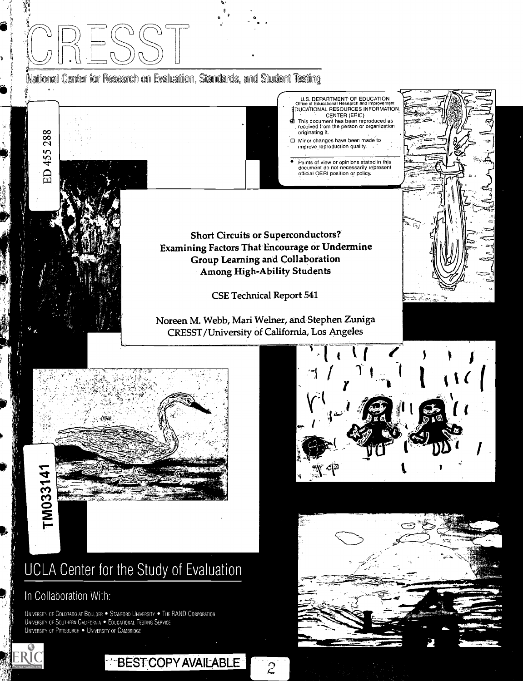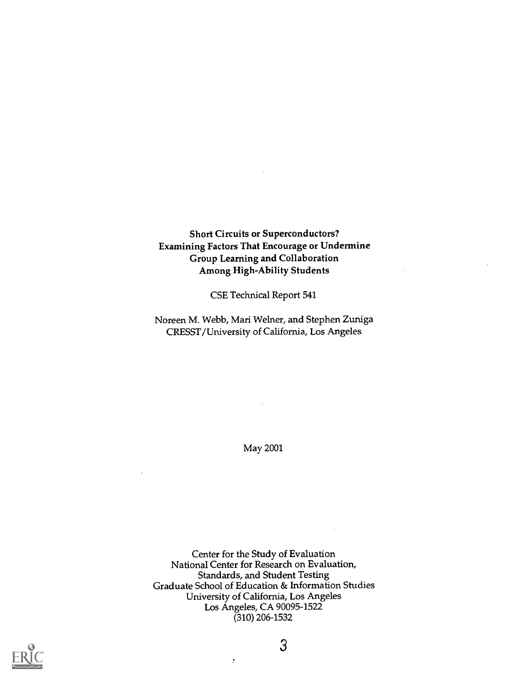## Short Circuits or Superconductors? Examining Factors That Encourage or Undermine Group Learning and Collaboration Among High-Ability Students

 $\bar{z}$ 

CSE Technical Report 541

Noreen M. Webb, Mari Weiner, and Stephen Zuniga CRESST/University of California, Los Angeles

May 2001

Center for the Study of Evaluation National Center for Research on Evaluation, Standards, and Student Testing Graduate School of Education & Information Studies University of California, Los Angeles Los Angeles, CA 90095-1522 (310) 206-1532

þ

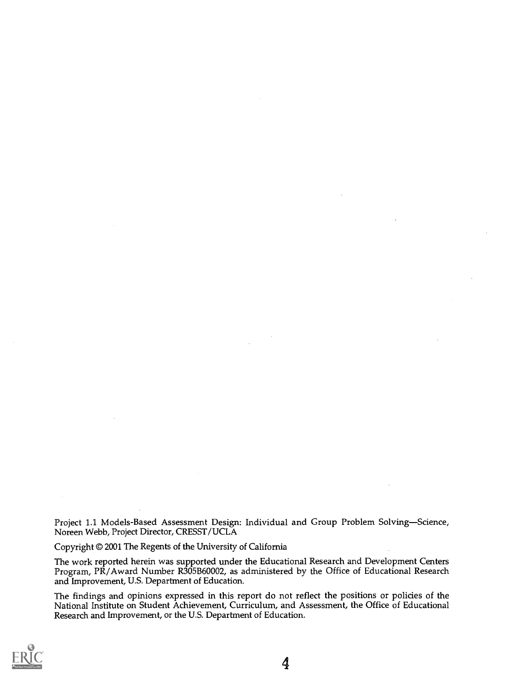Project 1.1 Models-Based Assessment Design: Individual and Group Problem Solving-Science, Noreen Webb, Project Director, CRESST/UCLA

Copyright © 2001 The Regents of the University of California

The work reported herein was supported under the Educational Research and Development Centers Program, PR/Award Number R305B60002, as administered by the Office of Educational Research and Improvement, U.S. Department of Education.

The findings and opinions expressed in this report do not reflect the positions or policies of the National Institute on Student Achievement, Curriculum, and Assessment, the Office of Educational Research and Improvement, or the U.S. Department of Education.

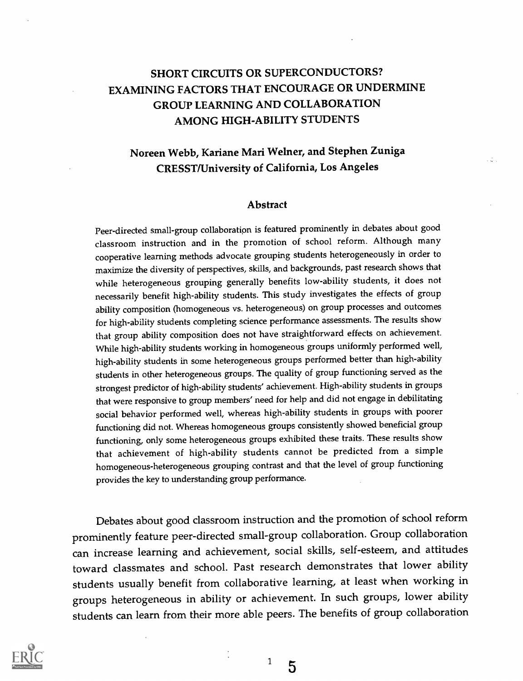# SHORT CIRCUITS OR SUPERCONDUCTORS? EXAMINING FACTORS THAT ENCOURAGE OR UNDERMINE GROUP LEARNING AND COLLABORATION AMONG HIGH-ABILITY STUDENTS

## Noreen Webb, Kariane Mari Weiner, and Stephen Zuniga CRESST/University of California, Los Angeles

уģу

#### Abstract

Peer-directed small-group collaboration is featured prominently in debates about good classroom instruction and in the promotion of school reform. Although many cooperative learning methods advocate grouping students heterogeneously in order to maximize the diversity of perspectives, skills, and backgrounds, past research shows that while heterogeneous grouping generally benefits low-ability students, it does not necessarily benefit high-ability students. This study investigates the effects of group ability composition (homogeneous vs. heterogeneous) on group processes and outcomes for high-ability students completing science performance assessments. The results show that group ability composition does not have straightforward effects on achievement. While high-ability students working in homogeneous groups uniformly performed well, high-ability students in some heterogeneous groups performed better than high-ability students in other heterogeneous groups. The quality of group functioning served as the strongest predictor of high-ability students' achievement. High-ability students in groups that were responsive to group members' need for help and did not engage in debilitating social behavior performed well, whereas high-ability students in groups with poorer functioning did not. Whereas homogeneous groups consistently showed beneficial group functioning, only some heterogeneous groups exhibited these traits. These results show that achievement of high-ability students cannot be predicted from a simple homogeneous-heterogeneous grouping contrast and that the level of group functioning provides the key to understanding group performance.

Debates about good classroom instruction and the promotion of school reform prominently feature peer-directed small-group collaboration. Group collaboration can increase learning and achievement, social skills, self-esteem, and attitudes toward classmates and school. Past research demonstrates that lower ability students usually benefit from collaborative learning, at least when working in groups heterogeneous in ability or achievement. In such groups, lower ability students can learn from their more able peers. The benefits of group collaboration



 $1\quad5$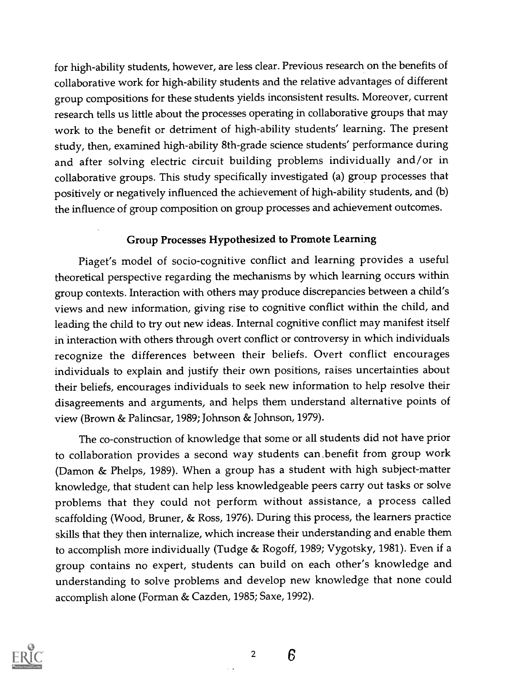for high-ability students, however, are less clear. Previous research on the benefits of collaborative work for high-ability students and the relative advantages of different group compositions for these students yields inconsistent results. Moreover, current research tells us little about the processes operating in collaborative groups that may work to the benefit or detriment of high-ability students' learning. The present study, then, examined high-ability 8th-grade science students' performance during and after solving electric circuit building problems individually and/or in collaborative groups. This study specifically investigated (a) group processes that positively or negatively influenced the achievement of high-ability students, and (b) the influence of group composition on group processes and achievement outcomes.

## Group Processes Hypothesized to Promote Learning

Piaget's model of socio-cognitive conflict and learning provides a useful theoretical perspective regarding the mechanisms by which learning occurs within group contexts. Interaction with others may produce discrepancies between a child's views and new information, giving rise to cognitive conflict within the child, and leading the child to try out new ideas. Internal cognitive conflict may manifest itself in interaction with others through overt conflict or controversy in which individuals recognize the differences between their beliefs. Overt conflict encourages individuals to explain and justify their own positions, raises uncertainties about their beliefs, encourages individuals to seek new information to help resolve their disagreements and arguments, and helps them understand alternative points of view (Brown & Palincsar, 1989; Johnson & Johnson, 1979).

The co-construction of knowledge that some or all students did not have prior to collaboration provides a second way students can benefit from group work (Damon & Phelps, 1989). When a group has a student with high subject-matter knowledge, that student can help less knowledgeable peers carry out tasks or solve problems that they could not perform without assistance, a process called scaffolding (Wood, Bruner, & Ross, 1976). During this process, the learners practice skills that they then internalize, which increase their understanding and enable them to accomplish more individually (Tudge & Rogoff, 1989; Vygotsky, 1981). Even if a group contains no expert, students can build on each other's knowledge and understanding to solve problems and develop new knowledge that none could accomplish alone (Forman & Cazden, 1985; Saxe, 1992).



2

Б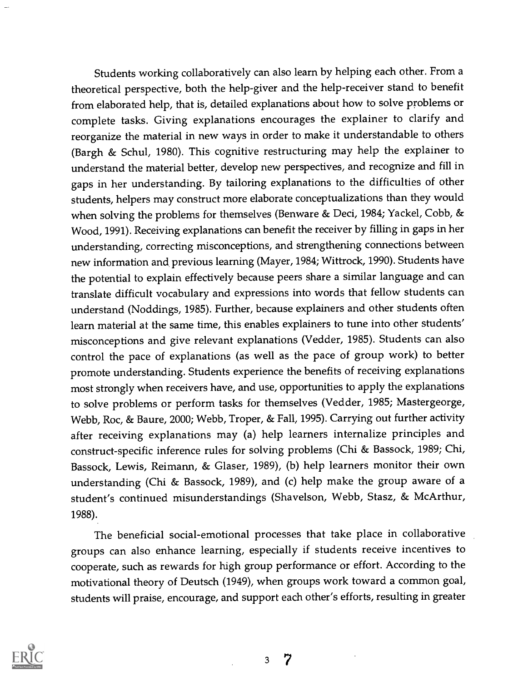Students working collaboratively can also learn by helping each other. From a theoretical perspective, both the help-giver and the help-receiver stand to benefit from elaborated help, that is, detailed explanations about how to solve problems or complete tasks. Giving explanations encourages the explainer to clarify and reorganize the material in new ways in order to make it understandable to others (Bargh & Schul, 1980). This cognitive restructuring may help the explainer to understand the material better, develop new perspectives, and recognize and fill in gaps in her understanding. By tailoring explanations to the difficulties of other students, helpers may construct more elaborate conceptualizations than they would when solving the problems for themselves (Benware & Deci, 1984; Yackel, Cobb, & Wood, 1991). Receiving explanations can benefit the receiver by filling in gaps in her understanding, correcting misconceptions, and strengthening connections between new information and, previous learning (Mayer, 1984; Wittrock, 1990). Students have the potential to explain effectively because peers share a similar language and can translate difficult vocabulary and expressions into words that fellow students can understand (Noddings, 1985). Further, because explainers and other students often learn material at the same time, this enables explainers to tune into other students' misconceptions and give relevant explanations (Vedder, 1985). Students can also control the pace of explanations (as well as the pace of group work) to better promote understanding. Students experience the benefits of receiving explanations most strongly when receivers have, and use, opportunities to apply the explanations to solve problems or perform tasks for themselves (Vedder, 1985; Mastergeorge, Webb, Roc, & Baure, 2000; Webb, Troper, & Fall, 1995). Carrying out further activity after receiving explanations may (a) help learners internalize principles and construct-specific inference rules for solving problems (Chi & Bassock, 1989; Chi, Bassock, Lewis, Reimann, & Glaser, 1989), (b) help learners monitor their own understanding (Chi & Bassock, 1989), and (c) help make the group aware of a student's continued misunderstandings (Shavelson, Webb, Stasz, & McArthur, 1988).

The beneficial social-emotional processes that take place in collaborative groups can also enhance learning, especially if students receive incentives to cooperate, such as rewards for high group performance or effort. According to the motivational theory of Deutsch (1949), when groups work toward a common goal, students will praise, encourage, and support each other's efforts, resulting in greater

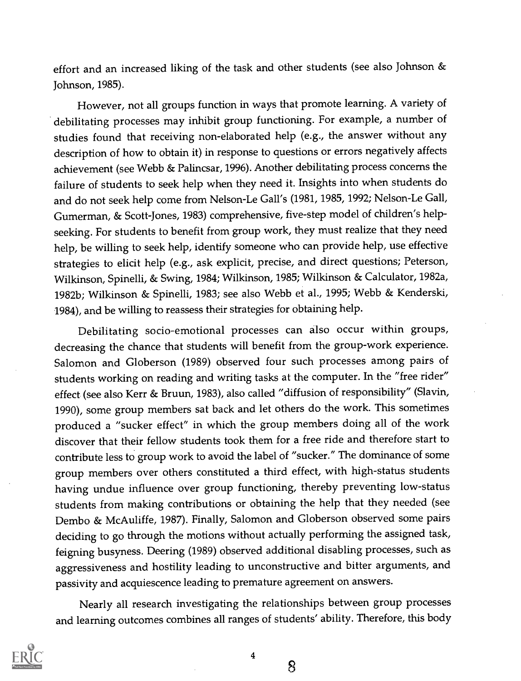effort and an increased liking of the task and other students (see also Johnson & Johnson, 1985).

However, not all groups function in ways that promote learning. A variety of debilitating processes may inhibit group functioning. For example, a number of studies found that receiving non-elaborated help (e.g., the answer without any description of how to obtain it) in response to questions or errors negatively affects achievement (see Webb & Palincsar, 1996). Another debilitating process concerns the failure of students to seek help when they need it. Insights into when students do and do not seek help come from Nelson-Le Gall's (1981, 1985, 1992; Nelson-Le Gall, Gumerman, & Scott-Jones, 1983) comprehensive, five-step model of children's helpseeking. For students to benefit from group work, they must realize that they need help, be willing to seek help, identify someone who can provide help, use effective strategies to elicit help (e.g., ask explicit, precise, and direct questions; Peterson, Wilkinson, Spinelli, & Swing, 1984; Wilkinson, 1985; Wilkinson & Calculator, 1982a, 1982b; Wilkinson & Spinelli, 1983; see also Webb et al., 1995; Webb & Kenderski, 1984), and be willing to reassess their strategies for obtaining help.

Debilitating socio-emotional processes can also occur within groups, decreasing the chance that students will benefit from the group-work experience. Salomon and Globerson (1989) observed four such processes among pairs of students working on reading and writing tasks at the computer. In the "free rider" effect (see also Kerr & Bruun, 1983), also called "diffusion of responsibility" (Slavin, 1990), some group members sat back and let others do the work. This sometimes produced a "sucker effect" in which the group members doing all of the work discover that their fellow students took them for a free ride and therefore start to contribute less to group work to avoid the label of "sucker." The dominance of some group members over others constituted a third effect, with high-status students having undue influence over group functioning, thereby preventing low-status students from making contributions or obtaining the help that they needed (see Dembo & McAuliffe, 1987). Finally, Salomon and Globerson observed some pairs deciding to go through the motions without actually performing the assigned task, feigning busyness. Deering (1989) observed additional disabling processes, such as aggressiveness and hostility leading to unconstructive and bitter arguments, and passivity and acquiescence leading to premature agreement on answers.

Nearly all research investigating the relationships between group processes and learning outcomes combines all ranges of students' ability. Therefore, this body



4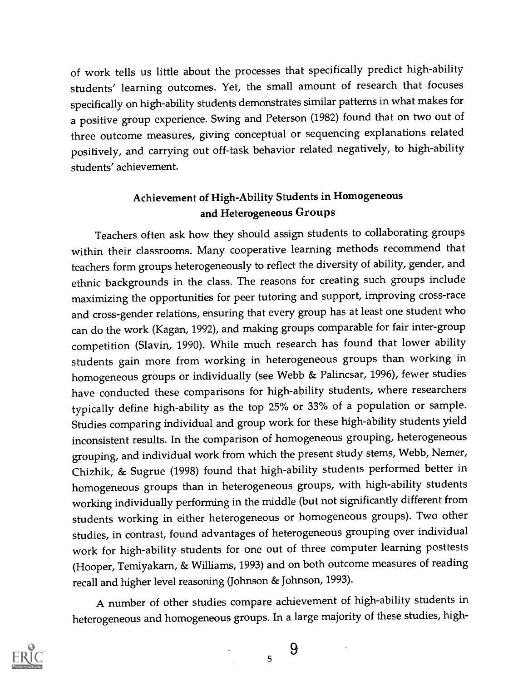of work tells us little about the processes that specifically predict high-ability students' learning outcomes. Yet, the small amount of research that focuses specifically on high-ability students demonstrates similar patterns in what makes for a positive group experience. Swing and Peterson (1982) found that on two out of three outcome measures, giving conceptual or sequencing explanations related positively, and carrying out off-task behavior related negatively, to high-ability students' achievement.

## Achievement of High-Ability Students in Homogeneous and Heterogeneous Groups

Teachers often ask how they should assign students to collaborating groups within their classrooms. Many cooperative learning methods recommend that teachers form groups heterogeneously to reflect the diversity of ability, gender, and ethnic backgrounds in the class. The reasons for creating such groups include maximizing the opportunities for peer tutoring and support, improving cross-race and cross-gender relations, ensuring that every group has at least one student who can do the work (Kagan, 1992), and making groups comparable for fair inter-group competition (Slavin, 1990). While much research has found that lower ability students gain more from working in heterogeneous groups than working in homogeneous groups or individually (see Webb & Palincsar, 1996), fewer studies have conducted these comparisons for high-ability students, where researchers typically define high-ability as the top 25% or 33% of a population or sample. Studies comparing individual and group work for these high-ability students yield inconsistent results. In the comparison of homogeneous grouping, heterogeneous grouping, and individual work from which the present study stems, Webb, Nemer, Chizhik, & Sugrue (1998) found that high-ability students performed better in homogeneous groups than in heterogeneous groups, with high-ability students working individually performing in the middle (but not significantly different from students working in either heterogeneous or homogeneous groups). Two other studies, in contrast, found advantages of heterogeneous grouping over individual work for high-ability students for one out of three computer learning posttests (Hooper, Temiyakarn, & Williams, 1993) and on both outcome measures of reading recall and higher level reasoning (Johnson & Johnson, 1993).

A number of other studies compare achievement of high-ability students in heterogeneous and homogeneous groups. In a large majority of these studies, high-

5

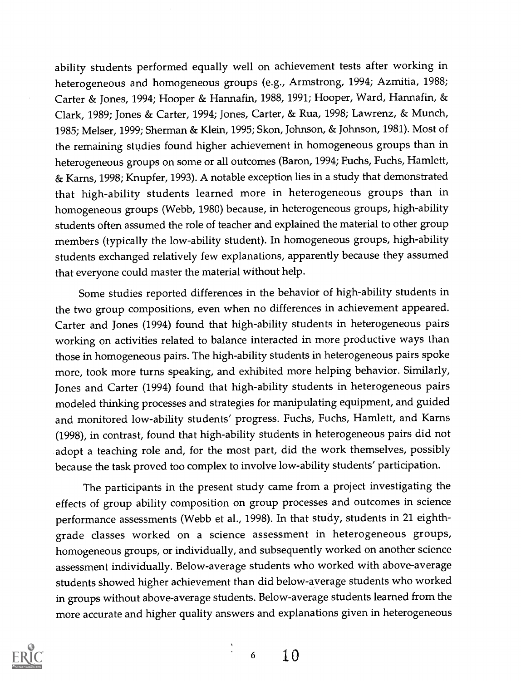ability students performed equally well on achievement tests after working in heterogeneous and homogeneous groups (e.g., Armstrong, 1994; Azmitia, 1988; Carter & Jones, 1994; Hooper & Hannafin, 1988, 1991; Hooper, Ward, Hannafin, & Clark, 1989; Jones & Carter, 1994; Jones, Carter, & Rua, 1998; Lawrenz, & Munch, 1985; Melser, 1999; Sherman & Klein, 1995; Skon, Johnson, & Johnson, 1981). Most of the remaining studies found higher achievement in homogeneous groups than in heterogeneous groups on some or all outcomes (Baron, 1994; Fuchs, Fuchs, Hamlett, & Karns, 1998; Knupfer, 1993). A notable exception lies in a study that demonstrated that high-ability students learned more in heterogeneous groups than in homogeneous groups (Webb, 1980) because, in heterogeneous groups, high-ability students often assumed the role of teacher and explained the material to other group members (typically the low-ability student). In homogeneous groups, high-ability students exchanged relatively few explanations, apparently because they assumed that everyone could master the material without help.

Some studies reported differences in the behavior of high-ability students in the two group compositions, even when no differences in achievement appeared. Carter and Jones (1994) found that high-ability students in heterogeneous pairs working on activities related to balance interacted in more productive ways than those in homogeneous pairs. The high-ability students in heterogeneous pairs spoke more, took more turns speaking, and exhibited more helping behavior. Similarly, Jones and Carter (1994) found that high-ability students in heterogeneous pairs modeled thinking processes and strategies for manipulating equipment, and guided and monitored low-ability students' progress. Fuchs, Fuchs, Hamlett, and Karns (1998), in contrast, found that high-ability students in heterogeneous pairs did not adopt a teaching role and, for the most part, did the work themselves, possibly because the task proved too complex to involve low-ability students' participation.

The participants in the present study came from a project investigating the effects of group ability composition on group processes and outcomes in science performance assessments (Webb et al., 1998). In that study, students in 21 eighthgrade classes worked on a science assessment in heterogeneous groups, homogeneous groups, or individually, and subsequently worked on another science assessment individually. Below-average students who worked with above-average students showed higher achievement than did below-average students who worked in groups without above-average students. Below-average students learned from the more accurate and higher quality answers and explanations given in heterogeneous

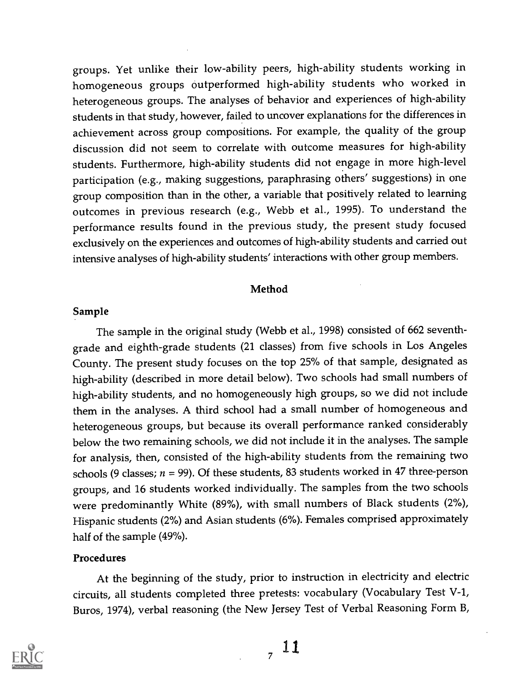groups. Yet unlike their low-ability peers, high-ability students working in homogeneous groups outperformed high-ability students who worked in heterogeneous groups. The analyses of behavior and experiences of high-ability students in that study, however, failed to uncover explanations for the differences in achievement across group compositions. For example, the quality of the group discussion did not seem to correlate with outcome measures for high-ability students. Furthermore, high-ability students did not engage in more high-level participation (e.g., making suggestions, paraphrasing others' suggestions) in one group composition than in the other, a variable that positively related to learning outcomes in previous research (e.g., Webb et al., 1995). To understand the performance results found in the previous study, the present study focused exclusively on the experiences and outcomes of high-ability students and carried out intensive analyses of high-ability students' interactions with other group members.

### Method

#### Sample

The sample in the original study (Webb et al., 1998) consisted of 662 seventhgrade and eighth-grade students (21 classes) from five schools in Los Angeles County. The present study focuses on the top 25% of that sample, designated as high-ability (described in more detail below). Two schools had small numbers of high-ability students, and no homogeneously high groups, so we did not include them in the analyses. A third school had a small number of homogeneous and heterogeneous groups, but because its overall performance ranked considerably below the two remaining schools, we did not include it in the analyses. The sample for analysis, then, consisted of the high-ability students from the remaining two schools (9 classes;  $n = 99$ ). Of these students, 83 students worked in 47 three-person groups, and 16 students worked individually. The samples from the two schools were predominantly White (89%), with small numbers of Black students (2%), Hispanic students (2%) and Asian students (6%). Females comprised approximately half of the sample (49%).

### Procedures

At the beginning of the study, prior to instruction in electricity and electric circuits, all students completed three pretests: vocabulary (Vocabulary Test V-1, Buros, 1974), verbal reasoning (the New Jersey Test of Verbal Reasoning Form B,



 $, 11$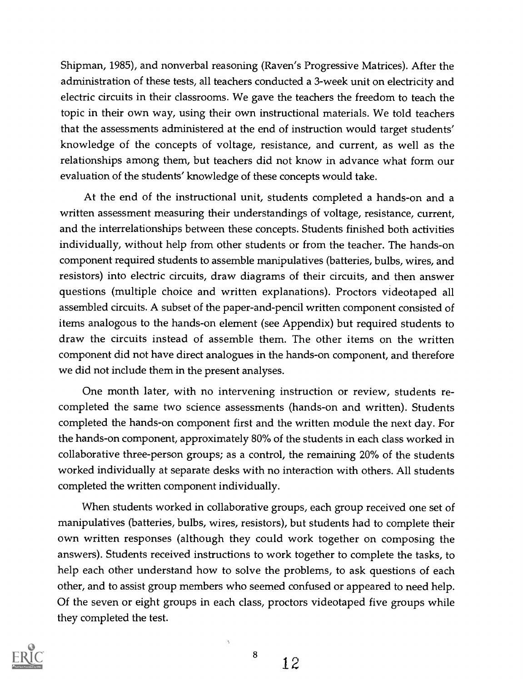Shipman, 1985), and nonverbal reasoning (Raven's Progressive Matrices). After the administration of these tests, all teachers conducted a 3-week unit on electricity and electric circuits in their classrooms. We gave the teachers the freedom to teach the topic in their own way, using their own instructional materials. We told teachers that the assessments administered at the end of instruction would target students' knowledge of the concepts of voltage, resistance, and current, as well as the relationships among them, but teachers did not know in advance what form our evaluation of the students' knowledge of these concepts would take.

At the end of the instructional unit, students completed a hands-on and a written assessment measuring their understandings of voltage, resistance, current, and the interrelationships between these concepts. Students finished both activities individually, without help from other students or from the teacher. The hands-on component required students to assemble manipulatives (batteries, bulbs, wires, and resistors) into electric circuits, draw diagrams of their circuits, and then answer questions (multiple choice and written explanations). Proctors videotaped all assembled circuits. A subset of the paper-and-pencil written component consisted of items analogous to the hands-on element (see Appendix) but required students to draw the circuits instead of assemble them. The other items on the written component did not have direct analogues in the hands-on component, and therefore we did not include them in the present analyses.

One month later, with no intervening instruction or review, students recompleted the same two science assessments (hands-on and written). Students completed the hands-on component first and the written module the next day. For the hands-on component, approximately 80% of the students in each class worked in collaborative three-person groups; as a control, the remaining 20% of the students worked individually at separate desks with no interaction with others. All students completed the written component individually.

When students worked in collaborative groups, each group received one set of manipulatives (batteries, bulbs, wires, resistors), but students had to complete their own written responses (although they could work together on composing the answers). Students received instructions to work together to complete the tasks, to help each other understand how to solve the problems, to ask questions of each other, and to assist group members who seemed confused or appeared to need help. Of the seven or eight groups in each class, proctors videotaped five groups while they completed the test.



8

 $\Delta$ 

12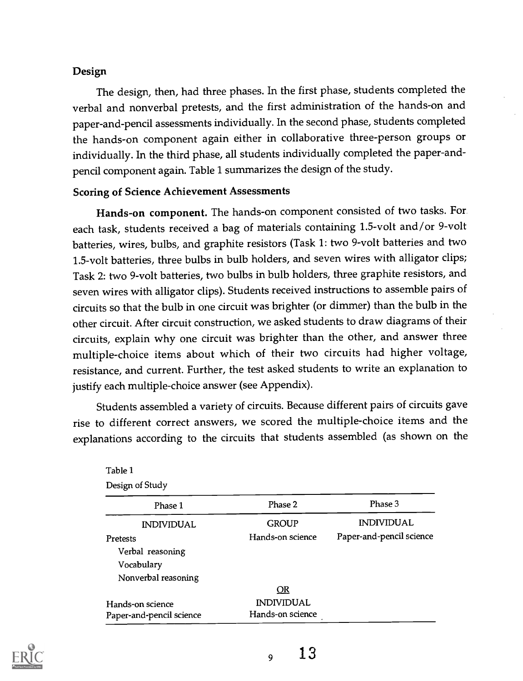## Design

The design, then, had three phases. In the first phase, students completed the verbal and nonverbal pretests, and the first administration of the hands-on and paper-and-pencil assessments individually. In the second phase, students completed the hands-on component again either in collaborative three-person groups or individually. In the third phase, all students individually completed the paper-andpencil component again. Table 1 summarizes the design of the study.

## Scoring of Science Achievement Assessments

Hands-on component. The hands-on component consisted of two tasks. For each task, students received a bag of materials containing 1.5-volt and/or 9-volt batteries, wires, bulbs, and graphite resistors (Task 1: two 9-volt batteries and two 1.5-volt batteries, three bulbs in bulb holders, and seven wires with alligator clips; Task 2: two 9-volt batteries, two bulbs in bulb holders, three graphite resistors, and seven wires with alligator clips). Students received instructions to assemble pairs of circuits so that the bulb in one circuit was brighter (or dimmer) than the bulb in the other circuit. After circuit construction, we asked students to draw diagrams of their circuits, explain why one circuit was brighter than the other, and answer three multiple-choice items about which of their two circuits had higher voltage, resistance, and current. Further, the test asked students to write an explanation to justify each multiple-choice answer (see Appendix).

Students assembled a variety of circuits. Because different pairs of circuits gave rise to different correct answers, we scored the multiple-choice items and the explanations according to the circuits that students assembled (as shown on the

| Table 1                  |                   |                          |
|--------------------------|-------------------|--------------------------|
| Design of Study          |                   |                          |
| Phase 1                  | Phase 2           | Phase 3                  |
| <b>INDIVIDUAL</b>        | <b>GROUP</b>      | <b>INDIVIDUAL</b>        |
| <b>Pretests</b>          | Hands-on science  | Paper-and-pencil science |
| Verbal reasoning         |                   |                          |
| Vocabulary               |                   |                          |
| Nonverbal reasoning      |                   |                          |
|                          | <u>OR</u>         |                          |
| Hands-on science         | <b>INDIVIDUAL</b> |                          |
| Paper-and-pencil science | Hands-on science  |                          |

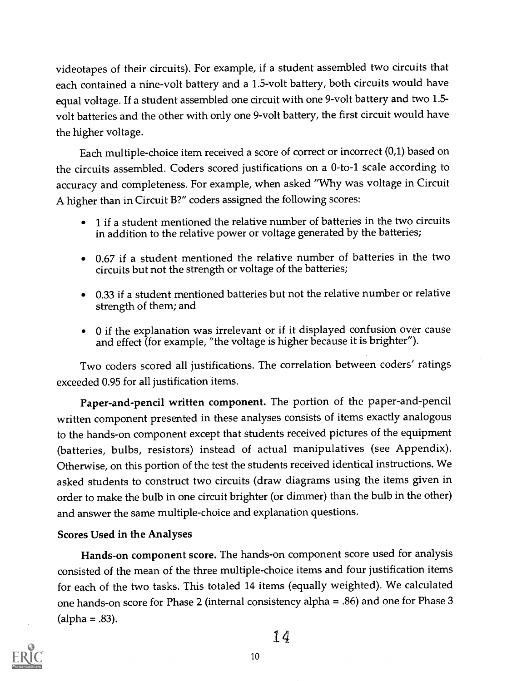videotapes of their circuits). For example, if a student assembled two circuits that each contained a nine-volt battery and a 1.5-volt battery, both circuits would have equal voltage. If a student assembled one circuit with one 9-volt battery and two 1.5 volt batteries and the other with only one 9-volt battery, the first circuit would have the higher voltage.

Each multiple-choice item received a score of correct or incorrect (0,1) based on the circuits assembled. Coders scored justifications on a 0-to-1 scale according to accuracy and completeness. For example, when asked "Why was voltage in Circuit A higher than in Circuit B?" coders assigned the following scores:

- 1 if a student mentioned the relative number of batteries in the two circuits in addition to the relative power or voltage generated by the batteries;
- 0.67 if a student mentioned the relative number of batteries in the two circuits but not the strength or voltage of the batteries;
- 0.33 if a student mentioned batteries but not the relative number or relative strength of them; and
- 0 if the explanation was irrelevant or if it displayed confusion over cause and effect (for example, "the voltage is higher because it is brighter").

Two coders scored all justifications. The correlation between coders' ratings exceeded 0.95 for all justification items.

Paper-and-pencil written component. The portion of the paper-and-pencil written component presented in these analyses consists of items exactly analogous to the hands-on component except that students received pictures of the equipment (batteries, bulbs, resistors) instead of actual manipulatives (see Appendix). Otherwise, on this portion of the test the students received identical instructions. We asked students to construct two circuits (draw diagrams using the items given in order to make the bulb in one circuit brighter (or dimmer) than the bulb in the other) and answer the same multiple-choice and explanation questions.

## Scores Used in the Analyses

Hands-on component score. The hands-on component score used for analysis consisted of the mean of the three multiple-choice items and four justification items for each of the two tasks. This totaled 14 items (equally weighted). We calculated one hands-on score for Phase 2 (internal consistency alpha = .86) and one for Phase 3  $(alpha = .83).$ 

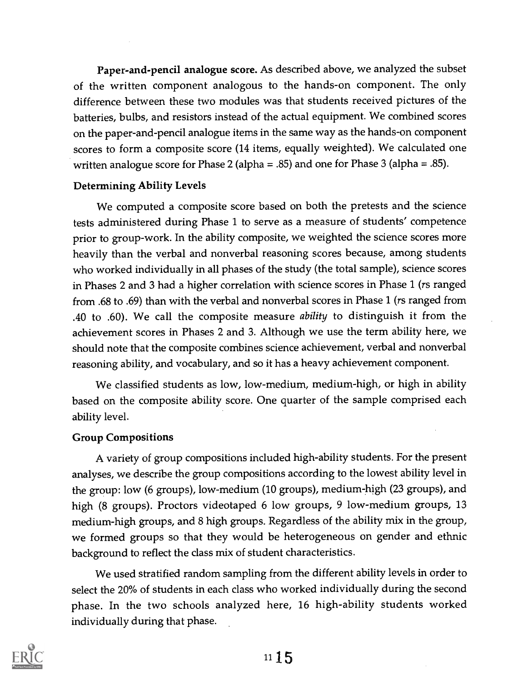Paper-and-pencil analogue score. As described above, we analyzed the subset of the written component analogous to the hands-on component. The only difference between these two modules was that students received pictures of the batteries, bulbs, and resistors instead of the actual equipment. We combined scores on the paper-and-pencil analogue items in the same way as the hands-on component scores to form a composite score (14 items, equally weighted). We calculated one written analogue score for Phase 2 (alpha = .85) and one for Phase 3 (alpha = .85).

## Determining Ability Levels

We computed a composite score based on both the pretests and the science tests administered during Phase 1 to serve as a measure of students' competence prior to group-work. In the ability composite, we weighted the science scores more heavily than the verbal and nonverbal reasoning scores because, among students who worked individually in all phases of the study (the total sample), science scores in Phases 2 and 3 had a higher correlation with science scores in Phase 1 (rs ranged from .68 to .69) than with the verbal and nonverbal scores in Phase 1 (rs ranged from .40 to .60). We call the composite measure ability to distinguish it from the achievement scores in Phases 2 and 3. Although we use the term ability here, we should note that the composite combines science achievement, verbal and nonverbal reasoning ability, and vocabulary, and so it has a heavy achievement component.

We classified students as low, low-medium, medium-high, or high in ability based on the composite ability score. One quarter of the sample comprised each ability level.

## Group Compositions

A variety of group compositions included high-ability students. For the present analyses, we describe the group compositions according to the lowest ability level in the group: low (6 groups), low-medium (10 groups), medium-high (23 groups), and high (8 groups). Proctors videotaped 6 low groups, 9 low-medium groups, 13 medium-high groups, and 8 high groups. Regardless of the ability mix in the group, we formed groups so that they would be heterogeneous on gender and ethnic background to reflect the class mix of student characteristics.

We used stratified random sampling from the different ability levels in order to select the 20% of students in each class who worked individually during the second phase. In the two schools analyzed here, 16 high-ability students worked individually during that phase.

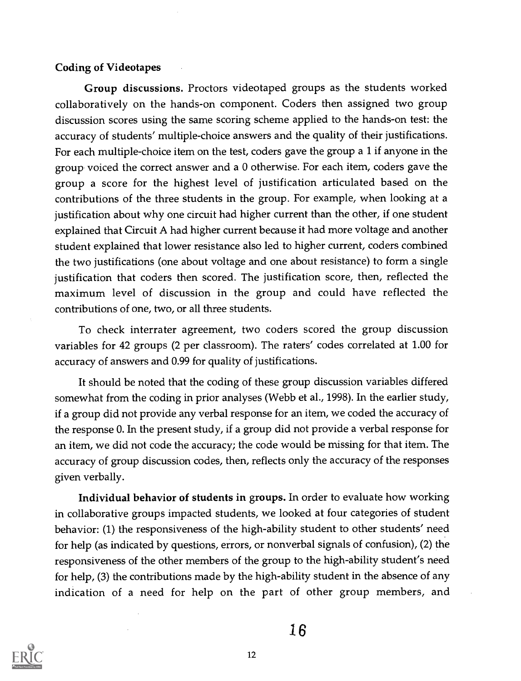## Coding of Videotapes

Group discussions. Proctors videotaped groups as the students worked collaboratively on the hands-on component. Coders then assigned two group discussion scores using the same scoring scheme applied to the hands-on test: the accuracy of students' multiple-choice answers and the quality of their justifications. For each multiple-choice item on the test, coders gave the group a 1 if anyone in the group voiced the correct answer and a 0 otherwise. For each item, coders gave the group a score for the highest level of justification articulated based on the contributions of the three students in the group. For example, when looking at a justification about why one circuit had higher current than the other, if one student explained that Circuit A had higher current because it had more voltage and another student explained that lower resistance also led to higher current, coders combined the two justifications (one about voltage and one about resistance) to form a single justification that coders then scored. The justification score, then, reflected the maximum level of discussion in the group and could have reflected the contributions of one, two, or all three students.

To check interrater agreement, two coders scored the group discussion variables for 42 groups (2 per classroom). The raters' codes correlated at 1.00 for accuracy of answers and 0.99 for quality of justifications.

It should be noted that the coding of these group discussion variables differed somewhat from the coding in prior analyses (Webb et al., 1998). In the earlier study, if a group did not provide any verbal response for an item, we coded the accuracy of the response 0. In the present study, if a group did not provide a verbal response for an item, we did not code the accuracy; the code would be missing for that item. The accuracy of group discussion codes, then, reflects only the accuracy of the responses given verbally.

Individual behavior of students in groups. In order to evaluate how working in collaborative groups impacted students, we looked at four categories of student behavior: (1) the responsiveness of the high-ability student to other students' need for help (as indicated by questions, errors, or nonverbal signals of confusion), (2) the responsiveness of the other members of the group to the high-ability student's need for help, (3) the contributions made by the high-ability student in the absence of any indication of a need for help on the part of other group members, and

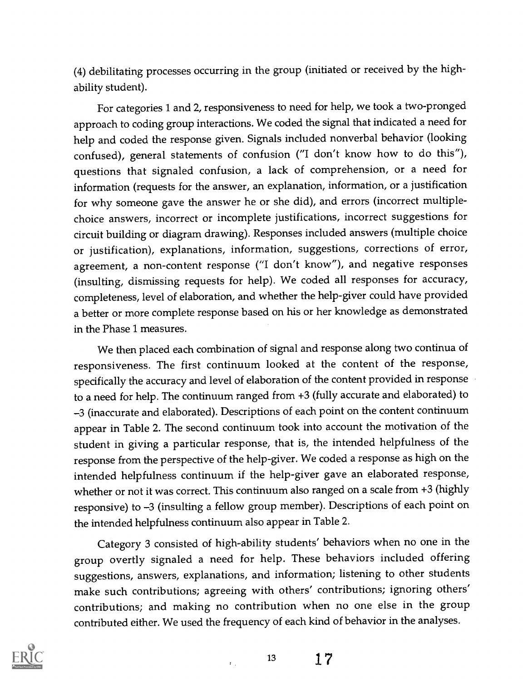(4) debilitating processes occurring in the group (initiated or received by the highability student).

For categories 1 and 2, responsiveness to need for help, we took a two-pronged approach to coding group interactions. We coded the signal that indicated a need for help and coded the response given. Signals included nonverbal behavior (looking confused), general statements of confusion ("I don't know how to do this"), questions that signaled confusion, a lack of comprehension, or a need for information (requests for the answer, an explanation, information, or a justification for why someone gave the answer he or she did), and errors (incorrect multiplechoice answers, incorrect or incomplete justifications, incorrect suggestions for circuit building or diagram drawing). Responses included answers (multiple choice or justification), explanations, information, suggestions, corrections of error, agreement, a non-content response ("I don't know"), and negative responses (insulting, dismissing requests for help). We coded all responses for accuracy, completeness, level of elaboration, and whether the help-giver could have provided a better or more complete response based on his or her knowledge as demonstrated in the Phase 1 measures.

We then placed each combination of signal and response along two continua of responsiveness. The first continuum looked at the content of the response, specifically the accuracy and level of elaboration of the content provided in response to a need for help. The continuum ranged from +3 (fully accurate and elaborated) to 3 (inaccurate and elaborated). Descriptions of each point on the content continuum appear in Table 2. The second continuum took into account the motivation of the student in giving a particular response, that is, the intended helpfulness of the response from the perspective of the help-giver. We coded a response as high on the intended helpfulness continuum if the help-giver gave an elaborated response, whether or not it was correct. This continuum also ranged on a scale from +3 (highly responsive) to -3 (insulting a fellow group member). Descriptions of each point on the intended helpfulness continuum also appear in Table 2.

Category 3 consisted of high-ability students' behaviors when no one in the group overtly signaled a need for help. These behaviors included offering suggestions, answers, explanations, and information; listening to other students make such contributions; agreeing with others' contributions; ignoring others' contributions; and making no contribution when no one else in the group contributed either. We used the frequency of each kind of behavior in the analyses.

 $\mathbf{r}$ 

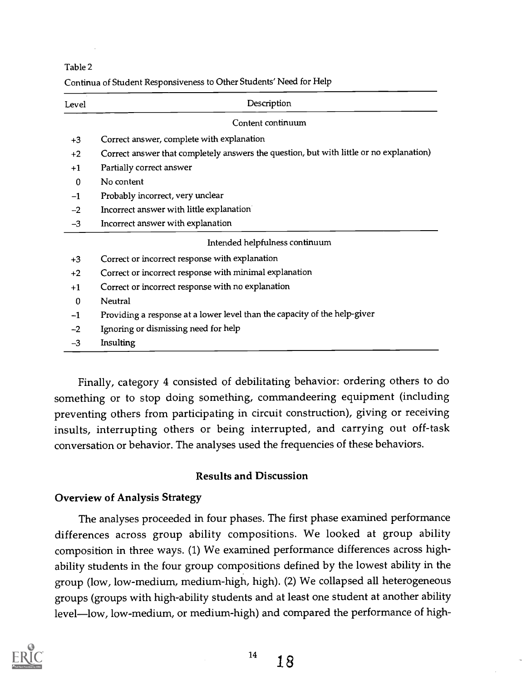Table 2

| Continua of Student Responsiveness to Other Students' Need for Help |  |
|---------------------------------------------------------------------|--|
|---------------------------------------------------------------------|--|

| Level        | Description                                                                             |
|--------------|-----------------------------------------------------------------------------------------|
|              | Content continuum                                                                       |
| $+3$         | Correct answer, complete with explanation                                               |
| $+2$         | Correct answer that completely answers the question, but with little or no explanation) |
| $+1$         | Partially correct answer                                                                |
| $\Omega$     | No content                                                                              |
| $-1$         | Probably incorrect, very unclear                                                        |
| $-2$         | Incorrect answer with little explanation                                                |
| $-3$         | Incorrect answer with explanation                                                       |
|              | Intended helpfulness continuum                                                          |
| $+3$         | Correct or incorrect response with explanation                                          |
| $+2$         | Correct or incorrect response with minimal explanation                                  |
| $+1$         | Correct or incorrect response with no explanation                                       |
| $\mathbf{0}$ | Neutral                                                                                 |
| $-1$         | Providing a response at a lower level than the capacity of the help-giver               |
| $-2$         | Ignoring or dismissing need for help                                                    |
| $-3$         | Insulting                                                                               |

Finally, category 4 consisted of debilitating behavior: ordering others to do something or to stop doing something, commandeering equipment (including preventing others from participating in circuit construction), giving or receiving insults, interrupting others or being interrupted, and carrying out off-task conversation or behavior. The analyses used the frequencies of these behaviors.

## Results and Discussion

## Overview of Analysis Strategy

The analyses proceeded in four phases. The first phase examined performance differences across group ability compositions. We looked at group ability composition in three ways. (1) We examined performance differences across highability students in the four group compositions defined by the lowest ability in the group (low, low-medium, medium-high, high). (2) We collapsed all heterogeneous groups (groups with high-ability students and at least one student at another ability level-low, low-medium, or medium-high) and compared the performance of high-

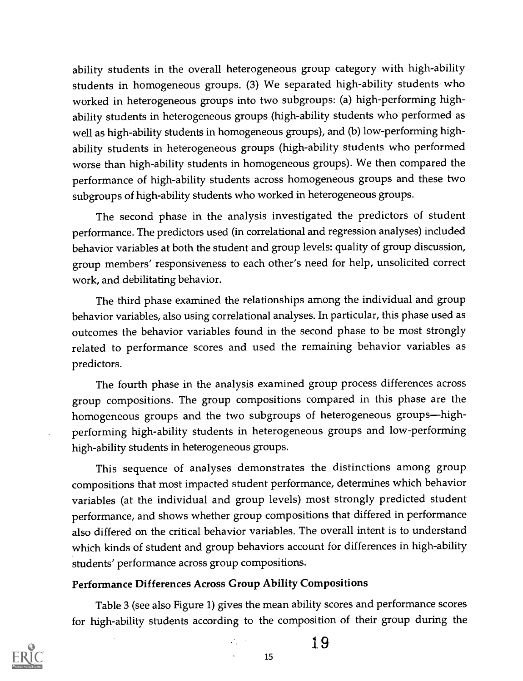ability students in the overall heterogeneous group category with high-ability students in homogeneous groups. (3) We separated high-ability students who worked in heterogeneous groups into two subgroups: (a) high-performing highability students in heterogeneous groups (high-ability students who performed as well as high-ability students in homogeneous groups), and (b) low-performing highability students in heterogeneous groups (high-ability students who performed worse than high-ability students in homogeneous groups). We then compared the performance of high-ability students across homogeneous groups and these two subgroups of high-ability students who worked in heterogeneous groups.

The second phase in the analysis investigated the predictors of student performance. The predictors used (in correlational and regression analyses) included behavior variables at both the student and group levels: quality of group discussion, group members' responsiveness to each other's need for help, unsolicited correct work, and debilitating behavior.

The third phase examined the relationships among the individual and group behavior variables, also using correlational analyses. In particular, this phase used as outcomes the behavior variables found in the second phase to be most strongly related to performance scores and used the remaining behavior variables as predictors.

The fourth phase in the analysis examined group process differences across group compositions. The group compositions compared in this phase are the homogeneous groups and the two subgroups of heterogeneous groups-highperforming high-ability students in heterogeneous groups and low-performing high-ability students in heterogeneous groups.

This sequence of analyses demonstrates the distinctions among group compositions that most impacted student performance, determines which behavior variables (at the individual and group levels) most strongly predicted student performance, and shows whether group compositions that differed in performance also differed on the critical behavior variables. The overall intent is to understand which kinds of student and group behaviors account for differences in high-ability students' performance across group compositions.

## Performance Differences Across Group Ability Compositions

Table 3 (see also Figure 1) gives the mean ability scores and performance scores for high-ability students according to the composition of their group during the

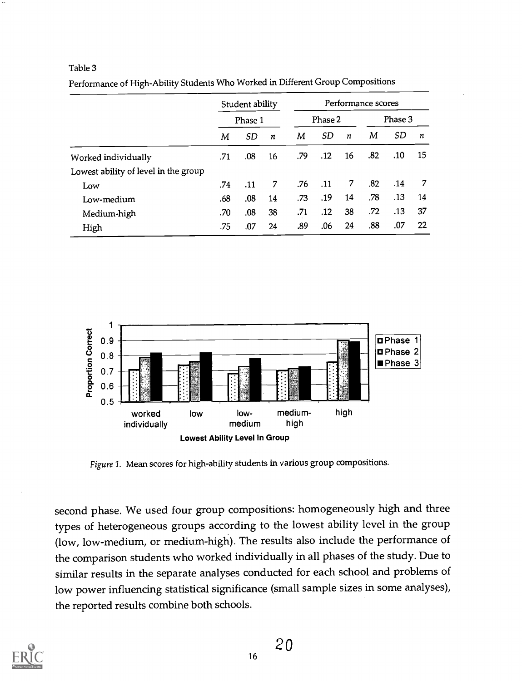#### Table 3

|                                      | Student ability<br>Phase 1 |     | Performance scores |     |             |         |     |     |    |
|--------------------------------------|----------------------------|-----|--------------------|-----|-------------|---------|-----|-----|----|
|                                      |                            |     | Phase 2            |     |             | Phase 3 |     |     |    |
|                                      | M                          | SD  | n                  | M   | SD.         | n       | M   | SD  | n  |
| Worked individually                  | .71                        | .08 | 16                 | .79 | .12         | 16      | .82 | .10 | 15 |
| Lowest ability of level in the group |                            |     |                    |     |             |         |     |     |    |
| Low                                  | .74                        | .11 | 7                  | .76 | $\cdot$ .11 | 7       | .82 | .14 | 7  |
| Low-medium                           | .68                        | .08 | 14                 | .73 | .19         | 14      | .78 | .13 | 14 |
| Medium-high                          | .70                        | .08 | 38                 | .71 | .12         | 38      | .72 | .13 | 37 |
| High                                 | .75                        | .07 | 24                 | .89 | .06         | 24      | .88 | .07 | 22 |

Performance of High-Ability Students Who Worked in Different Group Compositions



Figure 1. Mean scores for high-ability students in various group compositions.

second phase. We used four group compositions: homogeneously high and three types of heterogeneous groups according to the lowest ability level in the group (low, low-medium, or medium-high). The results also include the performance of the comparison students who worked individually in all phases of the study. Due to similar results in the separate analyses conducted for each school and problems of low power influencing statistical significance (small sample sizes in some analyses), the reported results combine both schools.

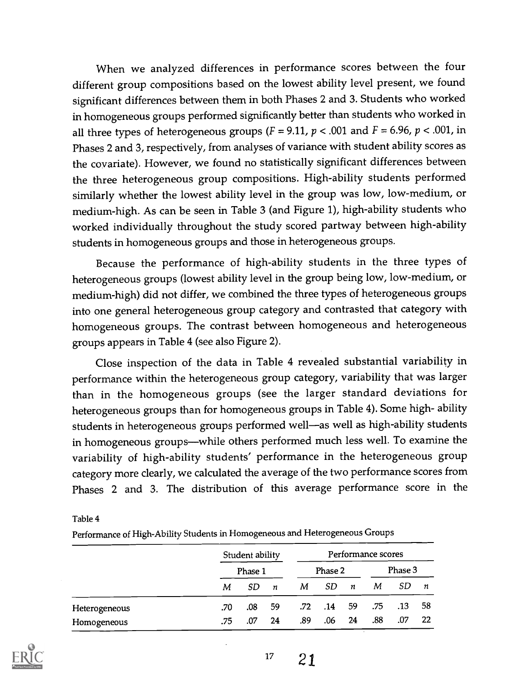When we analyzed differences in performance scores between the four different group compositions based on the lowest ability level present, we found significant differences between them in both Phases 2 and 3. Students who worked in homogeneous groups performed significantly better than students who worked in all three types of heterogeneous groups ( $F = 9.11$ ,  $p < .001$  and  $F = 6.96$ ,  $p < .001$ , in Phases 2 and 3, respectively, from analyses of variance with student ability scores as the covariate). However, we found no statistically significant differences between the three heterogeneous group compositions. High-ability students performed similarly whether the lowest ability level in the group was low, low-medium, or medium-high. As can be seen in Table 3 (and Figure 1), high-ability students who worked individually throughout the study scored partway between high-ability students in homogeneous groups and those in heterogeneous groups.

Because the performance of high-ability students in the three types of heterogeneous groups (lowest ability level in the group being low, low-medium, or medium-high) did not differ, we combined the three types of heterogeneous groups into one general heterogeneous group category and contrasted that category with homogeneous groups. The contrast between homogeneous and heterogeneous groups appears in Table 4 (see also Figure 2).

Close inspection of the data in Table 4 revealed substantial variability in performance within the heterogeneous group category, variability that was larger than in the homogeneous groups (see the larger standard deviations for heterogeneous groups than for homogeneous groups in Table 4). Some high- ability students in heterogeneous groups performed well-as well as high-ability students in homogeneous groups---while others performed much less well. To examine the variability of high-ability students' performance in the heterogeneous group category more clearly, we calculated the average of the two performance scores from Phases 2 and 3. The distribution of this average performance score in the

Table 4

Performance of High-Ability Students in Homogeneous and Heterogeneous Groups

|               | Student ability |         |                  | Performance scores |     |                  |         |     |    |
|---------------|-----------------|---------|------------------|--------------------|-----|------------------|---------|-----|----|
|               |                 | Phase 1 |                  | Phase 2            |     |                  | Phase 3 |     |    |
|               | М               | SD.     | $\boldsymbol{n}$ | М                  | SD. | $\boldsymbol{n}$ | М       | SD  | n  |
| Heterogeneous | .70             | .08     | 59               | .72 <sub>1</sub>   | .14 | -59              | .75     | .13 | 58 |
| Homogeneous   | .75             | .07     | 24               | .89                | .06 | 24               | .88     | .07 | 22 |



 $17 \t21$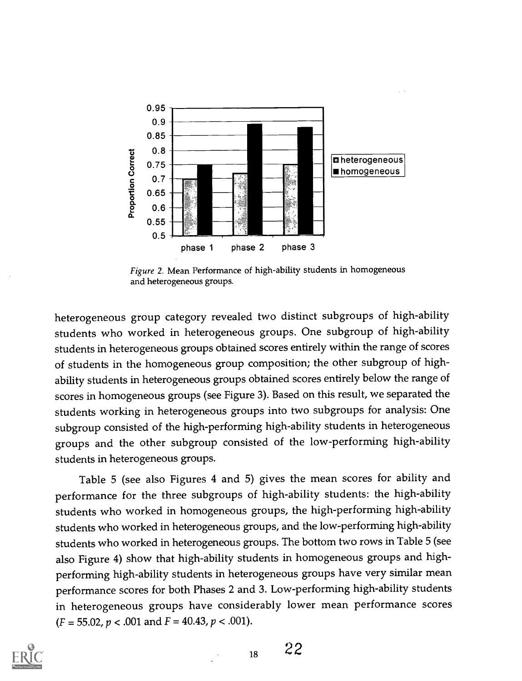

Figure 2. Mean Performance of high-ability students in homogeneous and heterogeneous groups.

heterogeneous group category revealed two distinct subgroups of high-ability students who worked in heterogeneous groups. One subgroup of high-ability students in heterogeneous groups obtained scores entirely within the range of scores of students in the homogeneous group composition; the other subgroup of highability students in heterogeneous groups obtained scores entirely below the range of scores in homogeneous groups (see Figure 3). Based on this result, we separated the students working in heterogeneous groups into two subgroups for analysis: One subgroup consisted of the high-performing high-ability students in heterogeneous groups and the other subgroup consisted of the low-performing high-ability students in heterogeneous groups.

Table 5 (see also Figures 4 and 5) gives the mean scores for ability and performance for the three subgroups of high-ability students: the high-ability students who worked in homogeneous groups, the high-performing high-ability students who worked in heterogeneous groups, and the low-performing high-ability students who worked in heterogeneous groups. The bottom two rows in Table 5 (see also Figure 4) show that high-ability students in homogeneous groups and highperforming high-ability students in heterogeneous groups have very similar mean performance scores for both Phases 2 and 3. Low-performing high-ability students in heterogeneous groups have considerably lower mean performance scores  $(F = 55.02, p < .001$  and  $F = 40.43, p < .001$ ).



 $_{18}$  22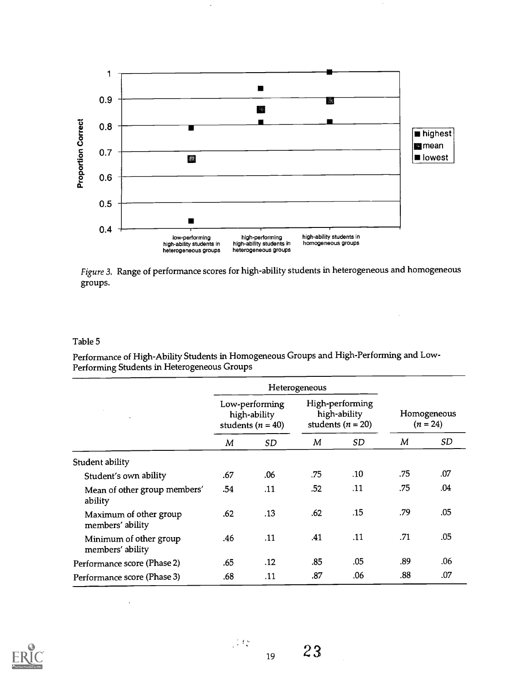

Figure 3. Range of performance scores for high-ability students in heterogeneous and homogeneous groups.

#### Table 5

Performance of High-Ability Students in Homogeneous Groups and High-Performing and Low-Performing Students in Heterogeneous Groups

|                                            |                                                         | Heterogeneous |                                                          |     |                           |     |
|--------------------------------------------|---------------------------------------------------------|---------------|----------------------------------------------------------|-----|---------------------------|-----|
|                                            | Low-performing<br>high-ability<br>students ( $n = 40$ ) |               | High-performing<br>high-ability<br>students ( $n = 20$ ) |     | Homogeneous<br>$(n = 24)$ |     |
|                                            | М                                                       | SD.           | М                                                        | SD. | M                         | SD  |
| Student ability                            |                                                         |               |                                                          |     |                           |     |
| Student's own ability                      | .67                                                     | .06           | .75                                                      | .10 | .75                       | .07 |
| Mean of other group members'<br>ability    | .54                                                     | <b>11</b>     | .52                                                      | .11 | .75                       | .04 |
| Maximum of other group<br>members' ability | .62                                                     | .13           | .62                                                      | .15 | .79                       | .05 |
| Minimum of other group<br>members' ability | .46                                                     | .11           | .41                                                      | .11 | .71                       | .05 |
| Performance score (Phase 2)                | .65                                                     | .12           | .85                                                      | .05 | .89                       | .06 |
| Performance score (Phase 3)                | .68                                                     | .11           | .87                                                      | .06 | .88                       | .07 |

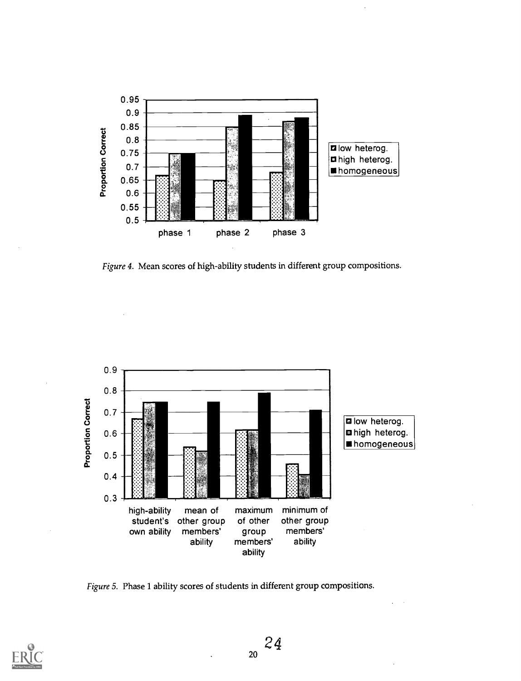

Figure 4. Mean scores of high-ability students in different group compositions.



Figure 5. Phase 1 ability scores of students in different group compositions.

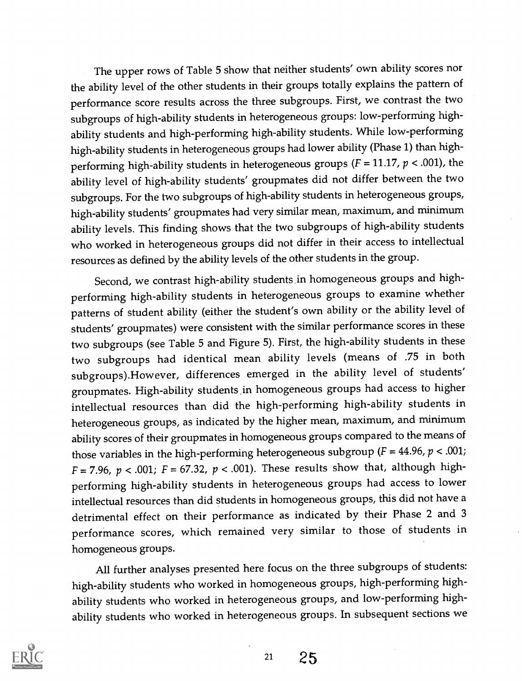The upper rows of Table 5 show that neither students' own ability scores nor the ability level of the other students in their groups totally explains the pattern of performance score results across the three subgroups. First, we contrast the two subgroups of high-ability students in heterogeneous groups: low-performing highability students and high-performing high-ability students. While low-performing high-ability students in heterogeneous groups had lower ability (Phase 1) than highperforming high-ability students in heterogeneous groups ( $F = 11.17$ ,  $p < .001$ ), the ability level of high-ability students' groupmates did not differ between the two subgroups. For the two subgroups of high-ability students in heterogeneous groups, high-ability students' groupmates had very similar mean, maximum, and minimum ability levels. This finding shows that the two subgroups of high-ability students who worked in heterogeneous groups did not differ in their access to intellectual resources as defined by the ability levels of the other students in the group.

Second, we contrast high-ability students ,in homogeneous groups and highperforming high-ability students in heterogeneous groups to examine whether patterns of student ability (either the student's own ability or the ability level of students' groupmates) were consistent with the similar performance scores in these two subgroups (see Table 5 and Figure 5). First, the high-ability students in these two subgroups had identical mean ability levels (means of .75 in both subgroups).However, differences emerged in the ability level of students' groupmates. High-ability students in homogeneous groups had access to higher intellectual resources than did the high-performing high-ability students in heterogeneous groups, as indicated by the higher mean, maximum, and minimum ability scores of their groupmates in homogeneous groups compared to the means of those variables in the high-performing heterogeneous subgroup ( $F = 44.96$ ,  $p < .001$ ;  $F = 7.96$ ,  $p < .001$ ;  $F = 67.32$ ,  $p < .001$ ). These results show that, although highperforming high-ability students in heterogeneous groups had access to lower intellectual resources than did students in homogeneous groups, this did not have a detrimental effect on their performance as indicated by their Phase 2 and 3 performance scores, which remained very similar to those of students in homogeneous groups.

All further analyses presented here focus on the three subgroups of students: high-ability students who worked in homogeneous groups, high-performing highability students who worked in heterogeneous groups, and low-performing highability students who worked in heterogeneous groups. In subsequent sections we

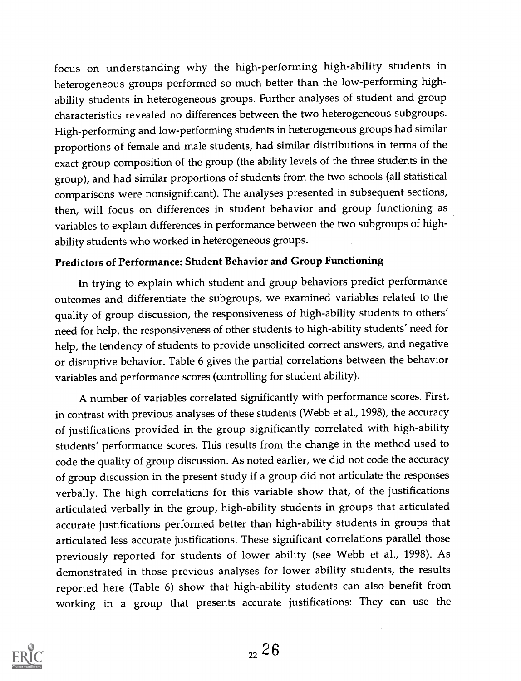focus on understanding why the high-performing high-ability students in heterogeneous groups performed so much better than the low-performing highability students in heterogeneous groups. Further analyses of student and group characteristics revealed no differences between the two heterogeneous subgroups. High-performing and low-performing students in heterogeneous groups had similar proportions of female and male students, had similar distributions in terms of the exact group composition of the group (the ability levels of the three students in the group), and had similar proportions of students from the two schools (all statistical comparisons were nonsignificant). The analyses presented in subsequent sections, then, will focus on differences in student behavior and group functioning as variables to explain differences in performance between the two subgroups of highability students who worked in heterogeneous groups.

## Predictors of Performance: Student Behavior and Group Functioning

In trying to explain which student and group behaviors predict performance outcomes and differentiate the subgroups, we examined variables related to the quality of group discussion, the responsiveness of high-ability students to others' need for help, the responsiveness of other students to high-ability students' need for help, the tendency of students to provide unsolicited correct answers, and negative or disruptive behavior. Table 6 gives the partial correlations between the behavior variables and performance scores (controlling for student ability).

A number of variables correlated significantly with performance scores. First, in contrast with previous analyses of these students (Webb et al., 1998), the accuracy of justifications provided in the group significantly correlated with high-ability students' performance scores. This results from the change in the method used to code the quality of group discussion. As noted earlier, we did not code the accuracy of group discussion in the present study if a group did not articulate the responses verbally. The high correlations for this variable show that, of the justifications articulated verbally in the group, high-ability students in groups that articulated accurate justifications performed better than high-ability students in groups that articulated less accurate justifications. These significant correlations parallel those previously reported for students of lower ability (see Webb et al., 1998). As demonstrated in those previous analyses for lower ability students, the results reported here (Table 6) show that high-ability students can also benefit from working in a group that presents accurate justifications: They can use the

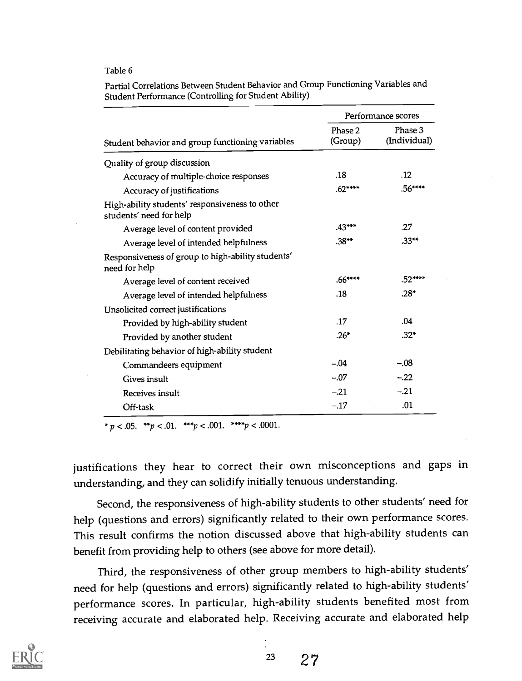#### Table 6

|                                                                           |                    | Performance scores      |
|---------------------------------------------------------------------------|--------------------|-------------------------|
| Student behavior and group functioning variables                          | Phase 2<br>(Group) | Phase 3<br>(Individual) |
| Quality of group discussion                                               |                    |                         |
| Accuracy of multiple-choice responses                                     | .18                | .12                     |
| Accuracy of justifications                                                | $.62***$           | $.56***$                |
| High-ability students' responsiveness to other<br>students' need for help |                    |                         |
| Average level of content provided                                         | $.43***$           | .27                     |
| Average level of intended helpfulness                                     | $.38**$            | $.33***$                |
| Responsiveness of group to high-ability students'<br>need for help        |                    |                         |
| Average level of content received                                         | $.66***$           | .52****                 |
| Average level of intended helpfulness                                     | .18                | $.28*$                  |
| Unsolicited correct justifications                                        |                    |                         |
| Provided by high-ability student                                          | .17                | .04                     |
| Provided by another student                                               | $.26*$             | $.32*$                  |
| Debilitating behavior of high-ability student                             |                    |                         |
| Commandeers equipment                                                     | $-.04$             | $-.08$                  |
| Gives insult                                                              | $-.07$             | $-.22$                  |
| Receives insult                                                           | $-21$              | $-.21$                  |
| Off-task                                                                  | $-.17$             | .01                     |

Partial Correlations Between Student Behavior and Group Functioning Variables and Student Performance (Controlling for Student Ability)

\*  $p < .05$ . \*\* $p < .01$ . \*\*\* $p < .001$ . \*\*\*\* $p < .0001$ .

justifications they hear to correct their own misconceptions and gaps in understanding, and they can solidify initially tenuous understanding.

Second, the responsiveness of high-ability students to other students' need for help (questions and errors) significantly related to their own performance scores. This result confirms the notion discussed above that high-ability students can benefit from providing help to others (see above for more detail).

Third, the responsiveness of other group members to high-ability students' need for help (questions and errors) significantly related to high-ability students' performance scores. In particular, high-ability students benefited most from receiving accurate and elaborated help. Receiving accurate and elaborated help

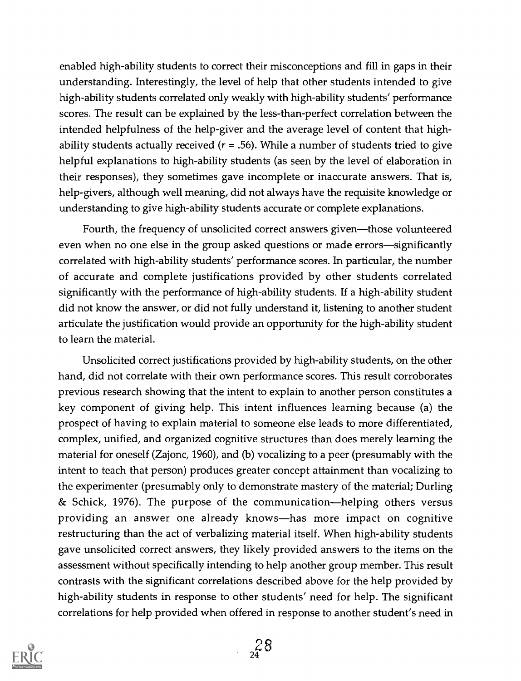enabled high-ability students to correct their misconceptions and fill in gaps in their understanding. Interestingly, the level of help that other students intended to give high-ability students correlated only weakly with high-ability students' performance scores. The result can be explained by the less-than-perfect correlation between the intended helpfulness of the help-giver and the average level of content that highability students actually received ( $r = .56$ ). While a number of students tried to give helpful explanations to high-ability students (as seen by the level of elaboration in their responses), they sometimes gave incomplete or inaccurate answers. That is, help-givers, although well meaning, did not always have the requisite knowledge or understanding to give high-ability students accurate or complete explanations.

Fourth, the frequency of unsolicited correct answers given—those volunteered even when no one else in the group asked questions or made errors—significantly correlated with high-ability students' performance scores. In particular, the number of accurate and complete justifications provided by other students correlated significantly with the performance of high-ability students. If a high-ability student did not know the answer, or did not fully understand it, listening to another student articulate the justification would provide an opportunity for the high-ability student to learn the material.

Unsolicited correct justifications provided by high-ability students, on the other hand, did not correlate with their own performance scores. This result corroborates previous research showing that the intent to explain to another person constitutes a key component of giving help. This intent influences learning because (a) the prospect of having to explain material to someone else leads to more differentiated, complex, unified, and organized cognitive structures than does merely learning the material for oneself (Zajonc, 1960), and (b) vocalizing to a peer (presumably with the intent to teach that person) produces greater concept attainment than vocalizing to the experimenter (presumably only to demonstrate mastery of the material; Durling & Schick, 1976). The purpose of the communication—helping others versus providing an answer one already knows-has more impact on cognitive restructuring than the act of verbalizing material itself. When high-ability students gave unsolicited correct answers, they likely provided answers to the items on the assessment without specifically intending to help another group member. This result contrasts with the significant correlations described above for the help provided by high-ability students in response to other students' need for help. The significant correlations for help provided when offered in response to another student's need in

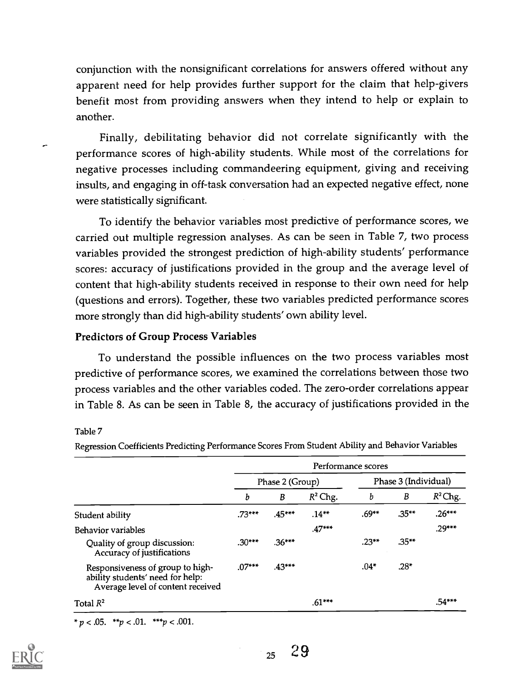conjunction with the nonsignificant correlations for answers offered without any apparent need for help provides further support for the claim that help-givers benefit most from providing answers when they intend to help or explain to another.

Finally, debilitating behavior did not correlate significantly with the performance scores of high-ability students. While most of the correlations for negative processes including commandeering equipment, giving and receiving insults, and engaging in off-task conversation had an expected negative effect, none were statistically significant.

To identify the behavior variables most predictive of performance scores, we carried out multiple regression analyses. As can be seen in Table 7, two process variables provided the strongest prediction of high-ability students' performance scores: accuracy of justifications provided in the group and the average level of content that high-ability students received in response to their own need for help (questions and errors). Together, these two variables predicted performance scores more strongly than did high-ability students' own ability level.

## Predictors of Group Process Variables

To understand the possible influences on the two process variables most predictive of performance scores, we examined the correlations between those two process variables and the other variables coded. The zero-order correlations appear in Table 8. As can be seen in Table 8, the accuracy of justifications provided in the

#### Table 7

Regression Coefficients Predicting Performance Scores From Student Ability and Behavior Variables

|                                                                                                           | Performance scores |                 |            |                      |          |            |  |  |
|-----------------------------------------------------------------------------------------------------------|--------------------|-----------------|------------|----------------------|----------|------------|--|--|
|                                                                                                           |                    | Phase 2 (Group) |            | Phase 3 (Individual) |          |            |  |  |
|                                                                                                           | b                  | B               | $R^2$ Chg. | b                    | B        | $R^2$ Chg. |  |  |
| Student ability                                                                                           | $.73***$           | $.45***$        | $.14***$   | $.69***$             | $.35***$ | $.26***$   |  |  |
| Behavior variables                                                                                        |                    |                 | $.47***$   |                      |          | $.29***$   |  |  |
| Quality of group discussion:<br>Accuracy of justifications                                                | $.30***$           | $.36***$        |            | $.23***$             | $.35**$  |            |  |  |
| Responsiveness of group to high-<br>ability students' need for help:<br>Average level of content received | $.07***$           | $.43***$        |            | $.04*$               | $.28*$   |            |  |  |
| Total $R^2$                                                                                               |                    |                 | $.61***$   |                      |          | .54***     |  |  |

\*  $p < .05$ . \*\* $p < .01$ . \*\*\* $p < .001$ .



 $25 \t29$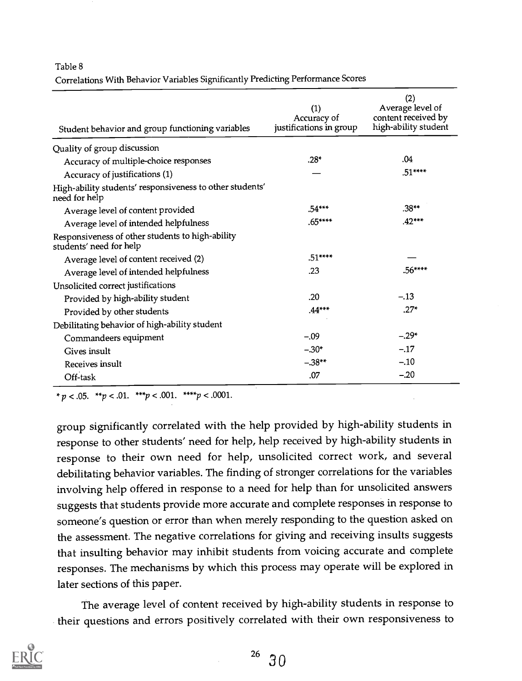#### Table 8

Correlations With Behavior Variables Significantly Predicting Performance Scores

| Student behavior and group functioning variables                            | (1)<br>Accuracy of<br>justifications in group | (2)<br>Average level of<br>content received by<br>high-ability student |
|-----------------------------------------------------------------------------|-----------------------------------------------|------------------------------------------------------------------------|
| Quality of group discussion                                                 |                                               |                                                                        |
| Accuracy of multiple-choice responses                                       | $.28*$                                        | .04                                                                    |
| Accuracy of justifications (1)                                              |                                               | $.51***$                                                               |
| High-ability students' responsiveness to other students'<br>need for help   |                                               |                                                                        |
| Average level of content provided                                           | $.54***$                                      | $.38**$                                                                |
| Average level of intended helpfulness                                       | $.65***$                                      | $.42***$                                                               |
| Responsiveness of other students to high-ability<br>students' need for help |                                               |                                                                        |
| Average level of content received (2)                                       | $.51***$                                      |                                                                        |
| Average level of intended helpfulness                                       | .23                                           | $.56***$                                                               |
| Unsolicited correct justifications                                          |                                               |                                                                        |
| Provided by high-ability student                                            | .20                                           | $-.13$                                                                 |
| Provided by other students                                                  | $.44***$                                      | $.27*$                                                                 |
| Debilitating behavior of high-ability student                               |                                               |                                                                        |
| Commandeers equipment                                                       | $-.09$                                        | $-.29*$                                                                |
| Gives insult                                                                | $-30*$                                        | $-.17$                                                                 |
| Receives insult                                                             | $-0.38**$                                     | $-.10$                                                                 |
| Off-task                                                                    | .07                                           | $-.20$                                                                 |

\*  $p < .05.$  \*\* $p < .01.$  \*\*\* $p < .001.$  \*\*\*\* $p < .0001.$ 

group significantly correlated with the help provided by high-ability students in response to other students' need for help, help received by high-ability students in response to their own need for help, unsolicited correct work, and several debilitating behavior variables. The finding of stronger correlations for the variables involving help offered in response to a need for help than for unsolicited answers suggests that students provide more accurate and complete responses in response to someone's question or error than when merely responding to the question asked on the assessment. The negative correlations for giving and receiving insults suggests that insulting behavior may inhibit students from voicing accurate and complete responses. The mechanisms by which this process may operate will be explored in later sections of this paper.

The average level of content received by high-ability students in response to their questions and errors positively correlated with their own responsiveness to

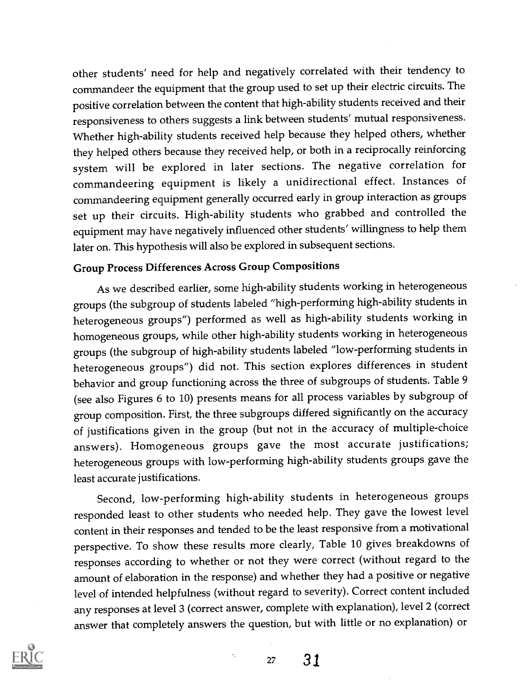other students' need for help and negatively correlated with their tendency to commandeer the equipment that the group used to set up their electric circuits. The positive correlation between the content that high-ability students received and their responsiveness to others suggests a link between students' mutual responsiveness. Whether high-ability students received help because they helped others, whether they helped others because they received help, or both in a reciprocally reinforcing system will be explored in later sections. The negative correlation for commandeering equipment is likely a unidirectional effect. Instances of commandeering equipment generally occurred early in group interaction as groups set up their circuits. High-ability students who grabbed and controlled the equipment may have negatively influenced other students' willingness to help them later on. This hypothesis will also be explored in subsequent sections.

## Group Process Differences Across Group Compositions

As we described earlier, some high-ability students working in heterogeneous groups (the subgroup of students labeled "high-performing high-ability students in heterogeneous groups") performed as well as high-ability students working in homogeneous groups, while other high-ability students working in heterogeneous groups (the subgroup of high-ability students labeled "low-performing students in heterogeneous groups") did not. This section explores differences in student behavior and group functioning across the three of subgroups of students. Table 9 (see also Figures 6 to 10) presents means for all process variables by subgroup of group composition. First, the three subgroups differed significantly on the accuracy of justifications given in the group (but not in the accuracy of multiple-choice answers). Homogeneous groups gave the most accurate justifications; heterogeneous groups with low-performing high-ability students groups gave the least accurate justifications.

Second, low-performing high-ability students in heterogeneous groups responded least to other students who needed help. They gave the lowest level content in their responses and tended to be the least responsive from a motivational perspective. To show these results more clearly, Table 10 gives breakdowns of responses according to whether or not they were correct (without regard to the amount of elaboration in the response) and whether they had a positive or negative level of intended helpfulness (without regard to severity). Correct content included any responses at level 3 (correct answer, complete with explanation), level 2 (correct answer that completely answers the question, but with little or no explanation) or

×.

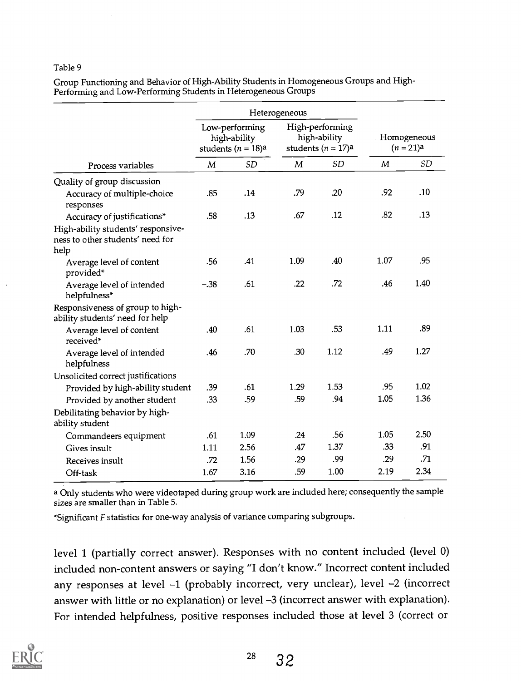#### Table 9

Group Functioning and Behavior of High-Ability Students in Homogeneous Groups and High-Performing and Low-Performing Students in Heterogeneous Groups

|                                                                                |                                                         | Heterogeneous |      |                                                         |                          |           |
|--------------------------------------------------------------------------------|---------------------------------------------------------|---------------|------|---------------------------------------------------------|--------------------------|-----------|
|                                                                                | Low-performing<br>high-ability<br>students $(n = 18)$ a |               |      | High-performing<br>high-ability<br>students $(n = 17)a$ | Homogeneous<br>$(n=21)a$ |           |
| Process variables                                                              | M                                                       | <b>SD</b>     | M    | <b>SD</b>                                               | M                        | <b>SD</b> |
| Quality of group discussion                                                    |                                                         |               |      |                                                         |                          |           |
| Accuracy of multiple-choice<br>responses                                       | .85                                                     | .14           | .79  | .20                                                     | .92                      | .10       |
| Accuracy of justifications*                                                    | .58                                                     | .13           | .67  | .12                                                     | .82                      | .13       |
| High-ability students' responsive-<br>ness to other students' need for<br>help |                                                         |               |      |                                                         |                          |           |
| Average level of content<br>provided*                                          | .56                                                     | .41           | 1.09 | .40                                                     | 1.07                     | .95       |
| Average level of intended<br>helpfulness*                                      | $-.38$                                                  | .61           | .22  | .72                                                     | .46                      | 1.40      |
| Responsiveness of group to high-<br>ability students' need for help            |                                                         |               |      |                                                         |                          |           |
| Average level of content<br>received*                                          | .40                                                     | .61           | 1.03 | .53                                                     | 1.11                     | .89       |
| Average level of intended<br>helpfulness                                       | .46                                                     | .70           | .30  | 1.12                                                    | .49                      | 1.27      |
| Unsolicited correct justifications                                             |                                                         |               |      |                                                         |                          |           |
| Provided by high-ability student                                               | .39                                                     | .61           | 1.29 | 1.53                                                    | .95                      | 1.02      |
| Provided by another student                                                    | .33                                                     | .59           | .59  | .94                                                     | 1.05                     | 1.36      |
| Debilitating behavior by high-<br>ability student                              |                                                         |               |      |                                                         |                          |           |
| Commandeers equipment                                                          | .61                                                     | 1.09          | .24  | .56                                                     | 1.05                     | 2.50      |
| Gives insult                                                                   | 1.11                                                    | 2.56          | .47  | 1.37                                                    | .33                      | .91       |
| Receives insult                                                                | .72                                                     | 1.56          | .29  | .99                                                     | .29                      | .71       |
| Off-task                                                                       | 1.67                                                    | 3.16          | .59  | 1.00                                                    | 2.19                     | 2.34      |

a Only students who were videotaped during group work are included here; consequently the sample sizes are smaller than in Table 5.

\*Significant F statistics for one-way analysis of variance comparing subgroups.

level 1 (partially correct answer). Responses with no content included (level 0) included non-content answers or saying "I don't know." Incorrect content included any responses at level -1 (probably incorrect, very unclear), level -2 (incorrect answer with little or no explanation) or level -3 (incorrect answer with explanation). For intended helpfulness, positive responses included those at level 3 (correct or

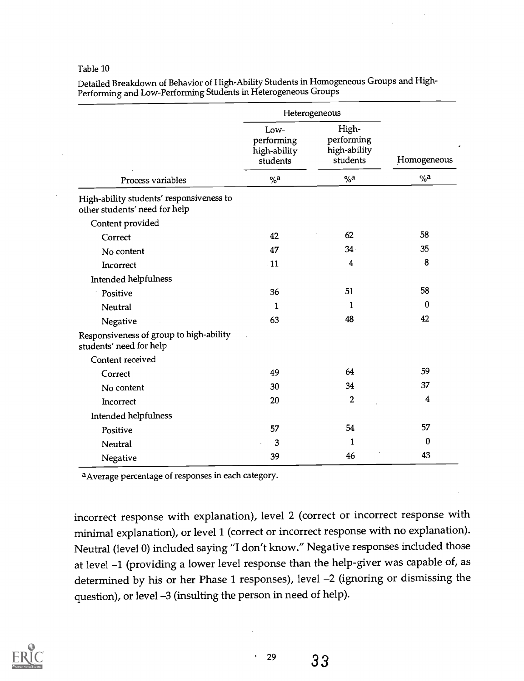#### Table 10

Detailed Breakdown of Behavior of High-Ability Students in Homogeneous Groups and High-Performing and Low-Performing Students in Heterogeneous Groups

|                                                                           |                                                | Heterogeneous                                   |             |  |  |
|---------------------------------------------------------------------------|------------------------------------------------|-------------------------------------------------|-------------|--|--|
|                                                                           | Low-<br>performing<br>high-ability<br>students | High-<br>performing<br>high-ability<br>students | Homogeneous |  |  |
| Process variables                                                         | $\%a$                                          | % a                                             | $\%a$       |  |  |
| High-ability students' responsiveness to<br>other students' need for help |                                                |                                                 |             |  |  |
| Content provided                                                          |                                                |                                                 |             |  |  |
| Correct                                                                   | 42                                             | 62                                              | 58          |  |  |
| No content                                                                | 47                                             | 34 <sup>°</sup>                                 | 35          |  |  |
| Incorrect                                                                 | $\cdot$ 11                                     | 4                                               | 8           |  |  |
| Intended helpfulness                                                      |                                                |                                                 |             |  |  |
| Positive                                                                  | 36                                             | 51                                              | 58          |  |  |
| Neutral                                                                   | 1                                              | 1                                               | $\bf{0}$    |  |  |
| Negative                                                                  | 63                                             | 48                                              | 42          |  |  |
| Responsiveness of group to high-ability<br>students' need for help        |                                                |                                                 |             |  |  |
| Content received                                                          |                                                |                                                 |             |  |  |
| Correct                                                                   | 49                                             | 64                                              | 59          |  |  |
| No content                                                                | 30                                             | 34                                              | 37          |  |  |
| Incorrect                                                                 | 20                                             | 2                                               | 4           |  |  |
| Intended helpfulness                                                      |                                                |                                                 |             |  |  |
| Positive                                                                  | 57                                             | 54                                              | 57          |  |  |
| Neutral                                                                   | 3                                              | 1                                               | 0           |  |  |
| Negative                                                                  | 39                                             | 46                                              | 43          |  |  |

aAverage percentage of responses in each category.

incorrect response with explanation), level 2 (correct or incorrect response with minimal explanation), or level 1 (correct or incorrect response with no explanation). Neutral (level 0) included saying "I don't know." Negative responses included those at level -1 (providing a lower level response than the help-giver was capable of, as determined by his or her Phase 1 responses), level -2 (ignoring or dismissing the question), or level -3 (insulting the person in need of help).

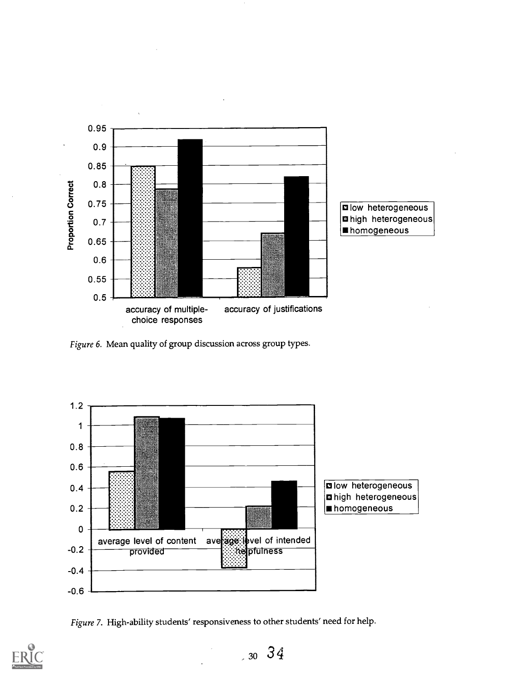

Figure 6. Mean quality of group discussion across group types.



Figure 7. High-ability students' responsiveness to other students' need for help.



 $30 \, 34$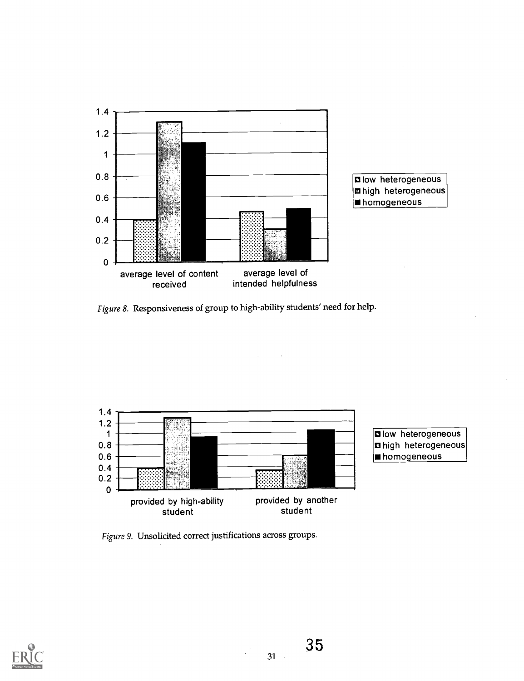

Figure 8. Responsiveness of group to high-ability students' need for help.

 $\mathcal{L}$ 



Figure 9. Unsolicited correct justifications across groups.

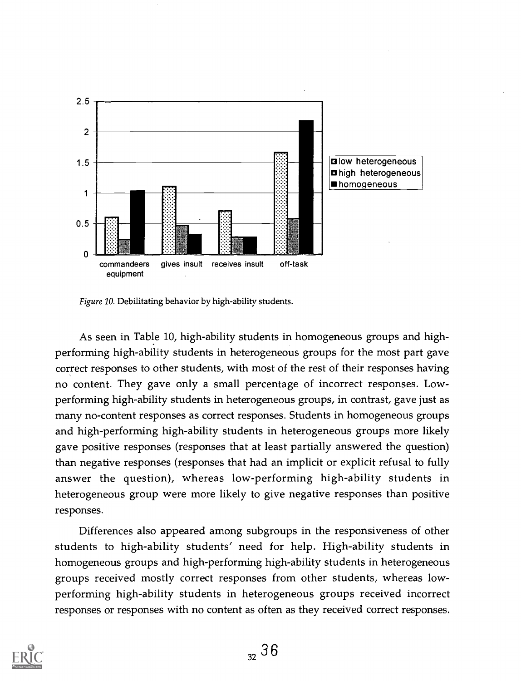

Figure 10. Debilitating behavior by high-ability students.

As seen in Table 10, high-ability students in homogeneous groups and highperforming high-ability students in heterogeneous groups for the most part gave correct responses to other students, with most of the rest of their responses having no content. They gave only a small percentage of incorrect responses. Lowperforming high-ability students in heterogeneous groups, in contrast, gave just as many no-content responses as correct responses. Students in homogeneous groups and high-performing high-ability students in heterogeneous groups more likely gave positive responses (responses that at least partially answered the question) than negative responses (responses that had an implicit or explicit refusal to fully answer the question), whereas low-performing high-ability students in heterogeneous group were more likely to give negative responses than positive responses.

Differences also appeared among subgroups in the responsiveness of other students to high-ability students' need for help. High-ability students in homogeneous groups and high-performing high-ability students in heterogeneous groups received mostly correct responses from other students, whereas lowperforming high-ability students in heterogeneous groups received incorrect responses or responses with no content as often as they received correct responses.

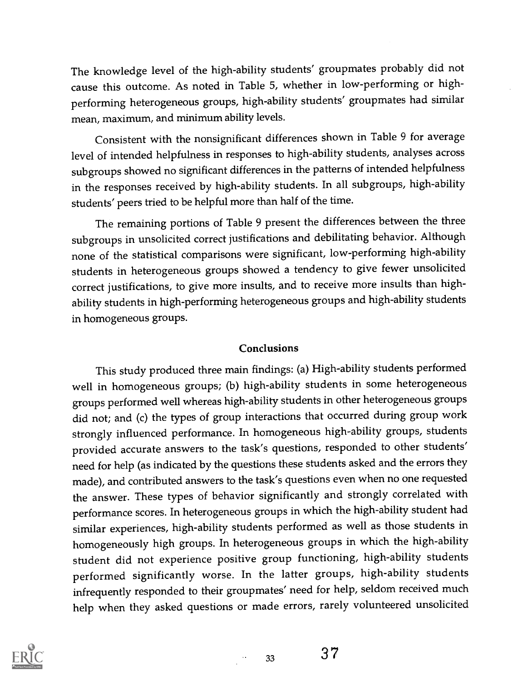The knowledge level of the high-ability students' groupmates probably did not cause this outcome. As noted in Table 5, whether in low-performing or highperforming heterogeneous groups, high-ability students' groupmates had similar mean, maximum, and minimum ability levels.

Consistent with the nonsignificant differences shown in Table 9 for average level of intended helpfulness in responses to high-ability students, analyses across subgroups showed no significant differences in the patterns of intended helpfulness in the responses received by high-ability students. In all subgroups, high-ability students' peers tried to be helpful more than half of the time.

The remaining portions of Table 9 present the differences between the three subgroups in unsolicited correct justifications and debilitating behavior. Although none of the statistical comparisons were significant, low-performing high-ability students in heterogeneous groups showed a tendency to give fewer unsolicited correct justifications, to give more insults, and to receive more insults than highability students in high-performing heterogeneous groups and high-ability students in homogeneous groups.

## **Conclusions**

This study produced three main findings: (a) High-ability students performed well in homogeneous groups; (b) high-ability students in some heterogeneous groups performed well whereas high-ability students in other heterogeneous groups did not; and (c) the types of group interactions that occurred during group work strongly influenced performance. In homogeneous high-ability groups, students provided accurate answers to the task's questions, responded to other students' need for help (as indicated by the questions these students asked and the errors they made), and contributed answers to the task's questions even when no one requested the answer. These types of behavior significantly and strongly correlated with performance scores. In heterogeneous groups in which the high-ability student had similar experiences, high-ability students performed as well as those students in homogeneously high groups. In heterogeneous groups in which the high-ability student did not experience positive group functioning, high-ability students performed significantly worse. In the latter groups, high-ability students infrequently responded to their groupmates' need for help, seldom received much help when they asked questions or made errors, rarely volunteered unsolicited

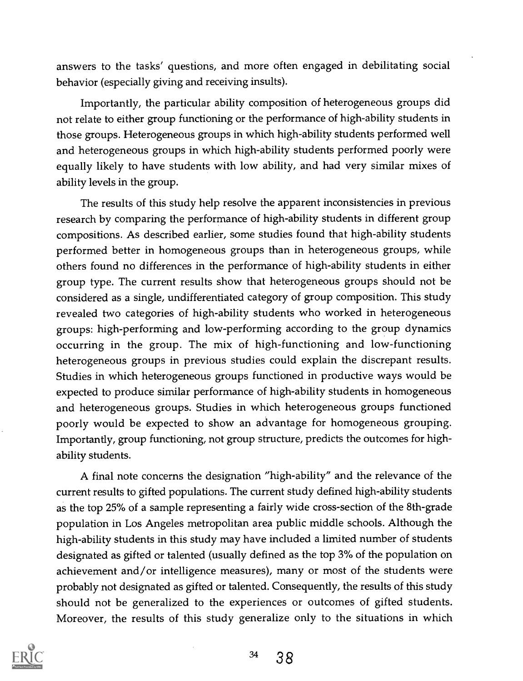answers to the tasks' questions, and more often engaged in debilitating social behavior (especially giving and receiving insults).

Importantly, the particular ability composition of heterogeneous groups did not relate to either group functioning or the performance of high-ability students in those groups. Heterogeneous groups in which high-ability students performed well and heterogeneous groups in which high-ability students performed poorly were equally likely to have students with low ability, and had very similar mixes of ability levels in the group.

The results of this study help resolve the apparent inconsistencies in previous research by comparing the performance of high-ability students in different group compositions. As described earlier, some studies found that high-ability students performed better in homogeneous groups than in heterogeneous groups, while others found no differences in the performance of high-ability students in either group type. The current results show that heterogeneous groups should not be considered as a single, undifferentiated category of group composition. This study revealed two categories of high-ability students who worked in heterogeneous groups: high-performing and low-performing according to the group dynamics occurring in the group. The mix of high-functioning and low-functioning heterogeneous groups in previous studies could explain the discrepant results. Studies in which heterogeneous groups functioned in productive ways would be expected to produce similar performance of high-ability students in homogeneous and heterogeneous groups. Studies in which heterogeneous groups functioned poorly would be expected to show an advantage for homogeneous grouping. Importantly, group functioning, not group structure, predicts the outcomes for highability students.

A final note concerns the designation "high-ability" and the relevance of the current results to gifted populations. The current study defined high-ability students as the top 25% of a sample representing a fairly wide cross-section of the 8th-grade population in Los Angeles metropolitan area public middle schools. Although the high-ability students in this study may have included a limited number of students designated as gifted or talented (usually defined as the top 3% of the population on achievement and/or intelligence measures), many or most of the students were probably not designated as gifted or talented. Consequently, the results of this study should not be generalized to the experiences or outcomes of gifted students. Moreover, the results of this study generalize only to the situations in which

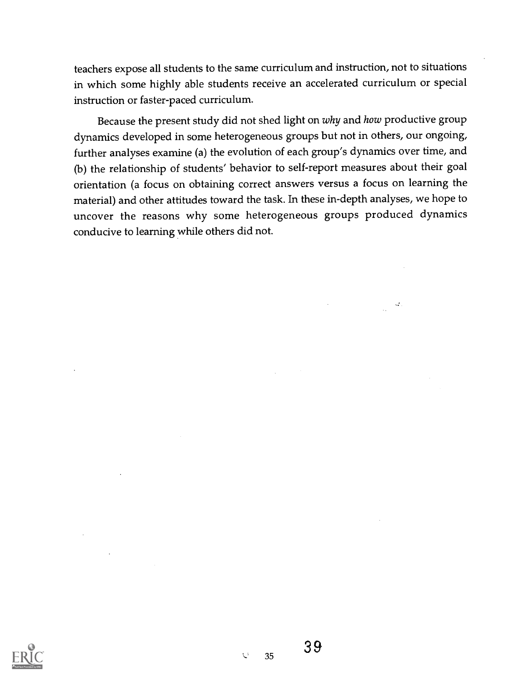teachers expose all students to the same curriculum and instruction, not to situations in which some highly able students receive an accelerated curriculum or special instruction or faster-paced curriculum.

Because the present study did not shed light on why and how productive group dynamics developed in some heterogeneous groups but not in others, our ongoing, further analyses examine (a) the evolution of each group's dynamics over time, and (b) the relationship of students' behavior to self-report measures about their goal orientation (a focus on obtaining correct answers versus a focus on learning the material) and other attitudes toward the task. In these in-depth analyses, we hope to uncover the reasons why some heterogeneous groups produced dynamics conducive to learning while others did not.



 $\mathbb C$ 35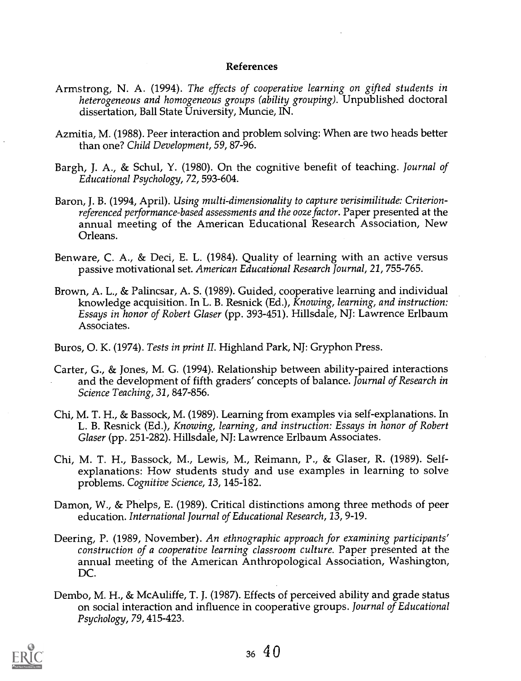#### References

- Armstrong, N. A. (1994). The effects of cooperative learning on gifted students in heterogeneous and homogeneous groups (ability grouping). Unpublished doctoral dissertation, Ball State University, Muncie, IN.
- Azmitia, M. (1988). Peer interaction and problem solving: When are two heads better than one? Child Development, 59, 87-96.
- Bargh, J. A., & Schul, Y. (1980). On the cognitive benefit of teaching. Journal of Educational Psychology, 72, 593-604.
- Baron, J. B. (1994, April). Using multi-dimensionality to capture verisimilitude: Criterionreferenced performance-based assessments and the ooze factor. Paper presented at the annual meeting of the American Educational Research Association, New Orleans.
- Benware, C. A., & Deci, E. L. (1984). Quality of learning with an active versus passive motivational set. American Educational Research Journal, 21, 755-765.
- Brown, A. L., & Palincsar, A. S. (1989). Guided, cooperative learning and individual knowledge acquisition. In L. B. Resnick (Ed.), Knowing, learning, and instruction: Essays in honor of Robert Glaser (pp. 393-451). Hillsdale, NJ: Lawrence Erlbaum Associates.
- Buros, 0. K. (1974). Tests in print II. Highland Park, NJ: Gryphon Press.
- Carter, G., & Jones, M. G. (1994). Relationship between ability-paired interactions and the development of fifth graders' concepts of balance. Journal of Research in Science Teaching, 31, 847-856.
- Chi, M. T. H., & Bassock, M. (1989). Learning from examples via self-explanations. In L. B. Resnick (Ed.), Knowing, learning, and instruction: Essays in honor of Robert Glaser (pp. 251-282). Hillsdale, NJ: Lawrence Erlbaum Associates.
- Chi, M. T. H., Bassock, M., Lewis, M., Reimann, P., & Glaser, R. (1989). Selfexplanations: How students study and use examples in learning to solve problems. Cognitive Science, 13, 145-182.
- Damon, W., & Phelps, E. (1989). Critical distinctions among three methods of peer education. International Journal of Educational Research, 13, 9-19.
- Deering, P. (1989, November). An ethnographic approach for examining participants' construction of a cooperative learning classroom culture. Paper presented at the annual meeting of the American Anthropological Association, Washington, DC.
- Dembo, M. H., & McAuliffe, T. J. (1987). Effects of perceived ability and grade status on social interaction and influence in cooperative groups. Journal of Educational Psychology, 79, 415-423.

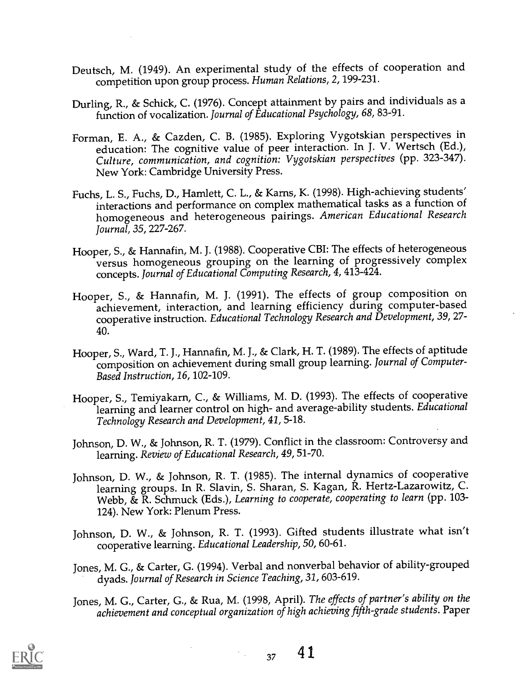- Deutsch, M. (1949). An experimental study of the effects of cooperation and competition upon group process. Human Relations, 2, 199-231.
- Durling, R., & Schick, C. (1976). Concept attainment by pairs and individuals as a function of vocalization. Journal of Educational Psychology, 68, 83-91.
- Forman, E. A., & Cazden, C. B. (1985). Exploring Vygotskian perspectives in education: The cognitive value of peer interaction. In J. V. Wertsch (Ed.), Culture, communication, and cognition: Vygotskian perspectives (pp. 323-347). New York: Cambridge University Press.
- Fuchs, L. S., Fuchs, D., Hamlett, C. L., & Karns, K. (1998). High-achieving students' interactions and performance on complex mathematical tasks as a function of homogeneous and heterogeneous pairings. American Educational Research Journal, 35, 227-267.
- Hooper, S., & Hannafin, M. J. (1988). Cooperative CBI: The effects of heterogeneous versus homogeneous grouping on the learning of progressively complex concepts. Journal of Educational Computing Research, 4, 413-424.
- Hooper, S., & Hannafin, M. J. (1991). The effects of group composition on achievement, interaction, and learning efficiency during computer-based cooperative instruction. Educational Technology Research and Development, 39, 27- 40.
- Hooper, S., Ward, T. J., Hannafin, M. J., & Clark, H. T. (1989). The effects of aptitude composition on achievement during small group learning. Journal of Computer-Based Instruction, 16, 102-109.
- Hooper, S., Temiyakarn, C., & Williams, M. D. (1993). The effects of cooperative learning and learner control on high- and average-ability students. Educational Technology Research and Development, 41, 5-18.
- Johnson, D. W., & Johnson, R. T. (1979). Conflict in the classroom: Controversy and learning. Review of Educational Research, 49, 51-70.
- Johnson, D. W., & Johnson, R. T. (1985). The internal dynamics of cooperative learning groups. In R. Slavin, S. Sharan, S. Kagan, R. Hertz-Lazarowitz, C. Webb, & R. Schmuck (Eds.), Learning to cooperate, cooperating to learn (pp. 103-124). New York: Plenum Press.
- Johnson, D. W., & Johnson, R. T. (1993). Gifted students illustrate what isn't cooperative learning. Educational Leadership, 50, 60-61.
- Jones, M. G., & Carter, G. (1994). Verbal and nonverbal behavior of ability-grouped dyads. Journal of Research in Science Teaching, 31, 603-619.
- Jones, M. G., Carter, G., & Rua, M. (1998, April). The effects of partner's ability on the achievement and conceptual organization of high achieving fifth-grade students. Paper



 $37 \quad 41$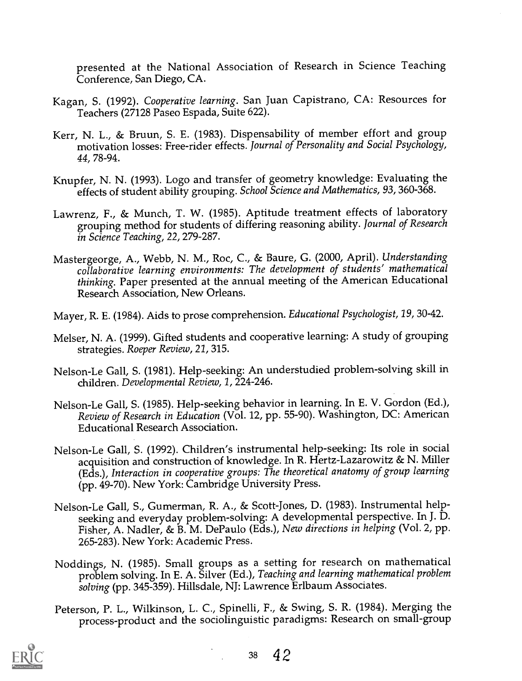presented at the National Association of Research in Science Teaching Conference, San Diego, CA.

- Kagan, S. (1992). Cooperative learning. San Juan Capistrano, CA: Resources for Teachers (27128 Paseo Espada, Suite 622).
- Kerr, N. L., & Bruun, S. E. (1983). Dispensability of member effort and group motivation losses: Free-rider effects. Journal of Personality and Social Psychology, 44, 78-94.
- Knupfer, N. N. (1993). Logo and transfer of geometry knowledge: Evaluating the effects of student ability grouping. School Science and Mathematics, 93, 360-368.
- Lawrenz, F., & Munch, T. W. (1985). Aptitude treatment effects of laboratory grouping method for students of differing reasoning ability. Journal of Research in Science Teaching, 22, 279-287.
- Mastergeorge, A., Webb, N. M., Roc, C., & Baure, G. (2000, April). Understanding collaborative learning environments: The development of students' mathematical thinking. Paper presented at the annual meeting of the American Educational Research Association, New Orleans.
- Mayer, R. E. (1984). Aids to prose comprehension. Educational Psychologist, 19, 30-42.
- Melser, N. A. (1999). Gifted students and cooperative learning: A study of grouping strategies. Roeper Review, 21, 315.
- Nelson-Le Gall, S. (1981). Help-seeking: An understudied problem-solving skill in children. Developmental Review, 1, 224-246.
- Nelson-Le Gall, S. (1985). Help-seeking behavior in learning. In E. V. Gordon (Ed.), Review of Research in Education (Vol. 12, pp. 55-90). Washington, DC: American Educational Research Association.
- Nelson-Le Gall, S. (1992). Children's instrumental help-seeking: Its role in social acquisition and construction of knowledge. In R. Hertz-Lazarowitz & N. Miller (Eds.), Interaction in cooperative groups: The theoretical anatomy of group learning (pp. 49-70). New York: Cambridge University Press.
- Nelson-Le Gall, S., Gumerman, R. A., & Scott-Jones, D. (1983). Instrumental helpseeking and everyday problem-solving: A developmental perspective. In J. D. Fisher, A. Nadler, & B. M. DePaulo (Eds.), New directions in helping (Vol. 2, pp. 265-283). New York: Academic Press.
- Noddings, N. (1985). Small groups as a setting for research on mathematical problem solving. In E. A. Silver (Ed.), Teaching and learning mathematical problem solving (pp. 345-359). Hillsdale, NJ: Lawrence Erlbaum Associates.
- Peterson, P. L., Wilkinson, L. C., Spinelli, F., & Swing, S. R. (1984). Merging the process-product and the sociolinguistic paradigms: Research on small-group

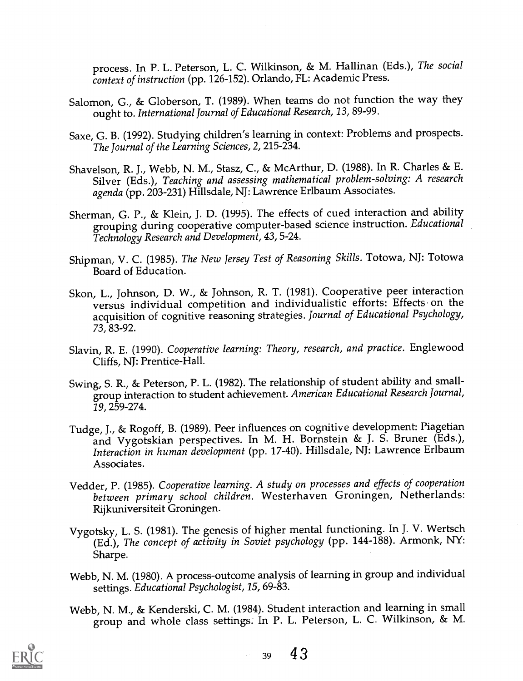process. In P. L. Peterson, L. C. Wilkinson, & M. Hallinan (Eds.), The social context of instruction (pp. 126-152). Orlando, FL: Academic Press.

- Salomon, G., & Globerson, T. (1989). When teams do not function the way they ought to. International Journal of Educational Research, 13, 89-99.
- Saxe, G. B. (1992). Studying children's learning in context: Problems and prospects. The Journal of the Learning Sciences, 2, 215-234.
- Shavelson, R. J., Webb, N. M., Stasz, C., & McArthur, D. (1988). In R. Charles & E. Silver (Eds.), Teaching and assessing mathematical problem-solving: A research agenda (pp. 203-231) Hillsdale, NJ: Lawrence Erlbaum Associates.
- Sherman, G. P., & Klein, J. D. (1995). The effects of cued interaction and ability grouping during cooperative computer-based science instruction. Educational Technology Research and Development, 43, 5-24.
- Shipman, V. C. (1985). The New Jersey Test of Reasoning Skills. Totowa, NJ: Totowa Board of Education.
- Skon, L., Johnson, D. W., & Johnson, R. T. (1981). Cooperative peer interaction versus individual competition and individualistic efforts: Effects on the acquisition of cognitive reasoning strategies. Journal of Educational Psychology, 73, 83-92.
- Slavin, R. E. (1990). Cooperative learning: Theory, research, and practice. Englewood Cliffs, NJ: Prentice-Hall.
- Swing, S. R., & Peterson, P. L. (1982). The relationship of student ability and smallgroup interaction to student achievement. American Educational Research Journal, 19, 259-274.
- Tudge, J., & Rogoff, B. (1989). Peer influences on cognitive development: Piagetian and Vygotskian perspectives. In M. H. Bornstein & J. S. Bruner (Eds.), Interaction in human development (pp. 17-40). Hillsdale, NJ: Lawrence Erlbaum Associates.
- Vedder, P. (1985). Cooperative learning. A study on processes and effects of cooperation between primary school children. Westerhaven Groningen, Netherlands: Rijkuniversiteit Groningen.
- Vygotsky, L. S. (1981). The genesis of higher mental functioning. In J. V. Wertsch (Ed.), The concept of activity in Soviet psychology (pp. 144-188). Armonk, NY: Sharpe.
- Webb, N. M. (1980). A process-outcome analysis of learning in group and individual settings. Educational Psychologist, 15, 69-83.
- Webb, N. M., & Kenderski, C. M. (1984). Student interaction and learning in small group and whole class settings. In P. L. Peterson, L. C. Wilkinson, & M.

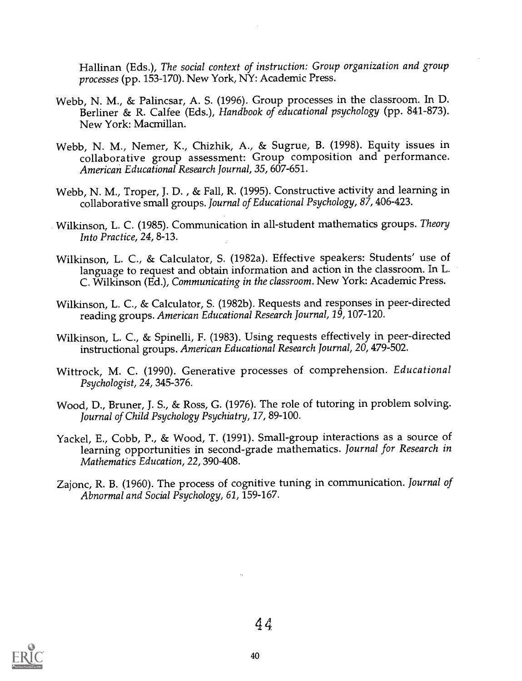Hallinan (Eds.), The social context of instruction: Group organization and group processes (pp. 153-170). New York, NY: Academic Press.

- Webb, N. M., & Palincsar, A. S. (1996). Group processes in the classroom. In D. Berliner & R. Calfee (Eds.), Handbook of educational psychology (pp. 841-873). New York: Macmillan.
- Webb, N. M., Nemer, K., Chizhik, A., & Sugrue, B. (1998). Equity issues in collaborative group assessment: Group composition and performance. American Educational Research Journal, 35, 607-651.
- Webb, N. M., Troper, J. D. , & Fall, R. (1995). Constructive activity and learning in collaborative small groups. Journal of Educational Psychology, 87, 406-423.
- Wilkinson, L. C. (1985). Communication in all-student mathematics groups. Theory Into Practice, 24, 8-13.
- Wilkinson, L. C., & Calculator, S. (1982a). Effective speakers: Students' use of language to request and obtain information and action in the classroom. In L. C. Wilkinson (Ed.), Communicating in the classroom. New York: Academic Press.
- Wilkinson, L. C., & Calculator, S. (1982b). Requests and responses in peer-directed reading groups. American Educational Research Journal, 19, 107-120.
- Wilkinson, L. C., & Spinelli, F. (1983). Using requests effectively in peer-directed instructional groups. American Educational Research Journal, 20, 479-502.
- Wittrock, M. C. (1990). Generative processes of comprehension. Educational Psychologist, 24, 345-376.
- Wood, D., Bruner, J. S., & Ross, G. (1976). The role of tutoring in problem solving. Journal of Child Psychology Psychiatry, 17, 89-100.
- Yackel, E., Cobb, P., & Wood, T. (1991). Small-group interactions as a source of learning opportunities in second-grade mathematics. Journal for Research in Mathematics Education, 22, 390-408.
- Zajonc, R. B. (1960). The process of cognitive tuning in communication. Journal of Abnormal and Social Psychology, 61, 159-167.

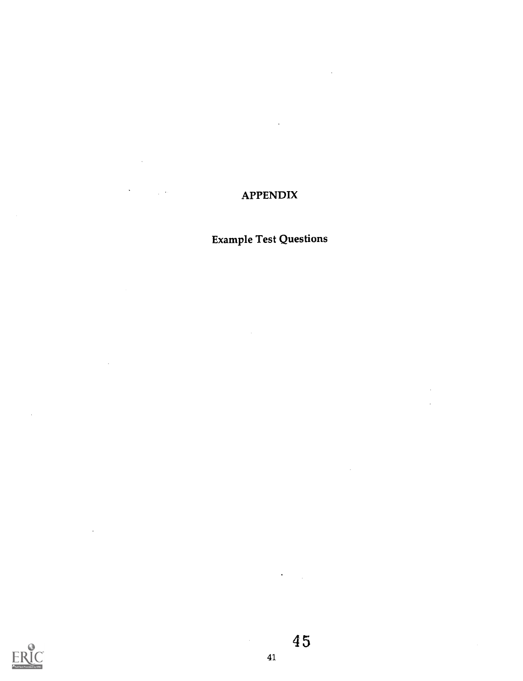## APPENDIX

 $\Box$ 

 $\bar{z}$ 

 $\frac{1}{2}$  .

 $\alpha$ 

 $\overline{\phantom{a}}$ 

 $\ddot{\phantom{a}}$ 

# Example Test Questions



 $\bar{\alpha}$ 

45

 $\ddot{\phantom{a}}$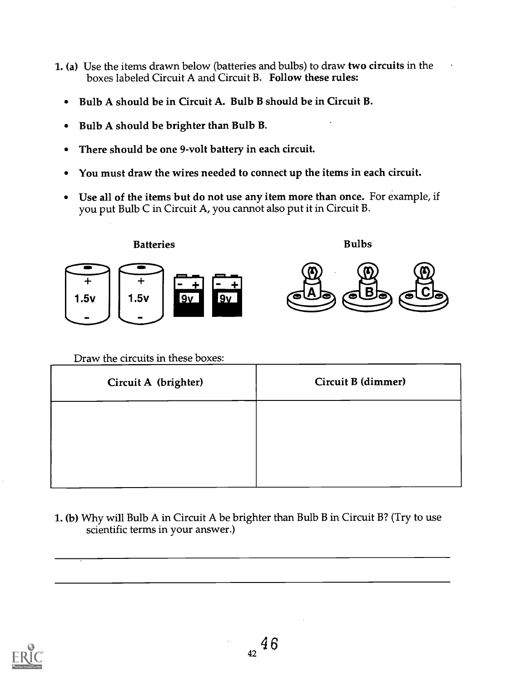- 1. (a) Use the items drawn below (batteries and bulbs) to draw two circuits in the boxes labeled Circuit A and Circuit B. Follow these rules:
	- Bulb A should be in Circuit A. Bulb B should be in Circuit B.  $\bullet$
	- Bulb A should be brighter than Bulb B.  $\bullet$
	- There should be one 9-volt battery in each circuit.  $\bullet$
	- You must draw the wires needed to connect up the items in each circuit.  $\bullet$
	- Use all of the items but do not use any item more than once. For example, if  $\bullet$ you put Bulb C in Circuit A, you cannot also put it in Circuit B.



Draw the circuits in these boxes:

| Circuit A (brighter) | Circuit B (dimmer) |
|----------------------|--------------------|
|                      |                    |
|                      |                    |
|                      |                    |

1. (b) Why will Bulb A in Circuit A be brighter than Bulb B in Circuit B? (Try to use scientific terms in your answer.)

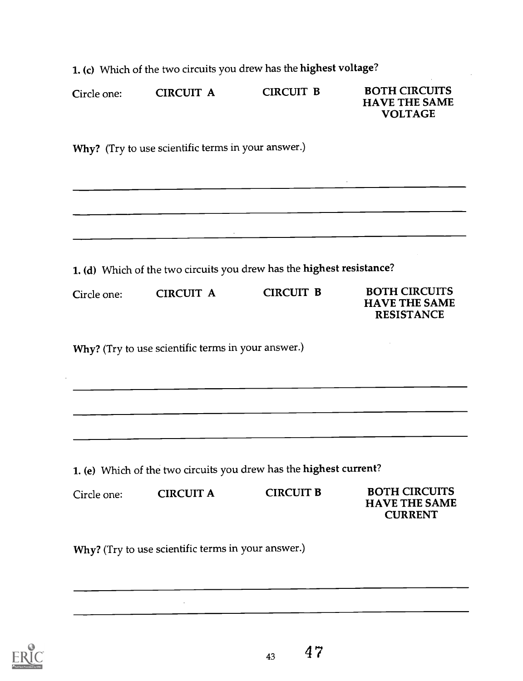1. (c) Which of the two circuits you drew has the highest voltage?

|             | <b>CIRCUIT A</b>                                                                                                      | <b>CIRCUIT B</b>                                                                       | <b>BOTH CIRCUITS</b><br><b>HAVE THE SAME</b><br><b>VOLTAGE</b>    |
|-------------|-----------------------------------------------------------------------------------------------------------------------|----------------------------------------------------------------------------------------|-------------------------------------------------------------------|
|             | Why? (Try to use scientific terms in your answer.)                                                                    |                                                                                        |                                                                   |
|             | <u> 1980 - Johann Johann Stone, meil in der Stone aus der Stone aus der Stone aus der Stone aus der Stone aus der</u> |                                                                                        |                                                                   |
|             |                                                                                                                       | 1. (d) Which of the two circuits you drew has the highest resistance?                  | <u> 1980 - Jan Barbara (j. 1901). Jan Barbara (j. 1902).</u>      |
| Circle one: | <b>CIRCUIT A</b>                                                                                                      | <b>CIRCUIT B</b>                                                                       | <b>BOTH CIRCUITS</b><br><b>HAVE THE SAME</b><br><b>RESISTANCE</b> |
|             | Why? (Try to use scientific terms in your answer.)                                                                    |                                                                                        |                                                                   |
|             |                                                                                                                       |                                                                                        |                                                                   |
|             |                                                                                                                       |                                                                                        |                                                                   |
|             |                                                                                                                       |                                                                                        |                                                                   |
|             | <b>CIRCUIT A</b>                                                                                                      | 1. (e) Which of the two circuits you drew has the highest current?<br><b>CIRCUIT B</b> | <b>BOTH CIRCUITS</b>                                              |



43

 $\bar{\beta}$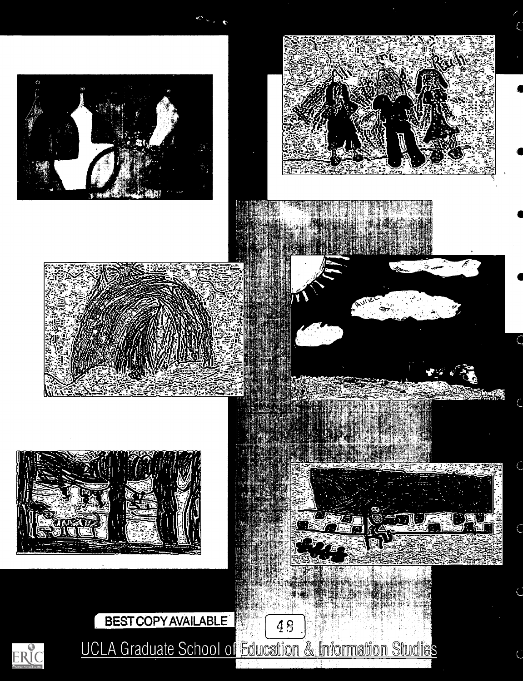